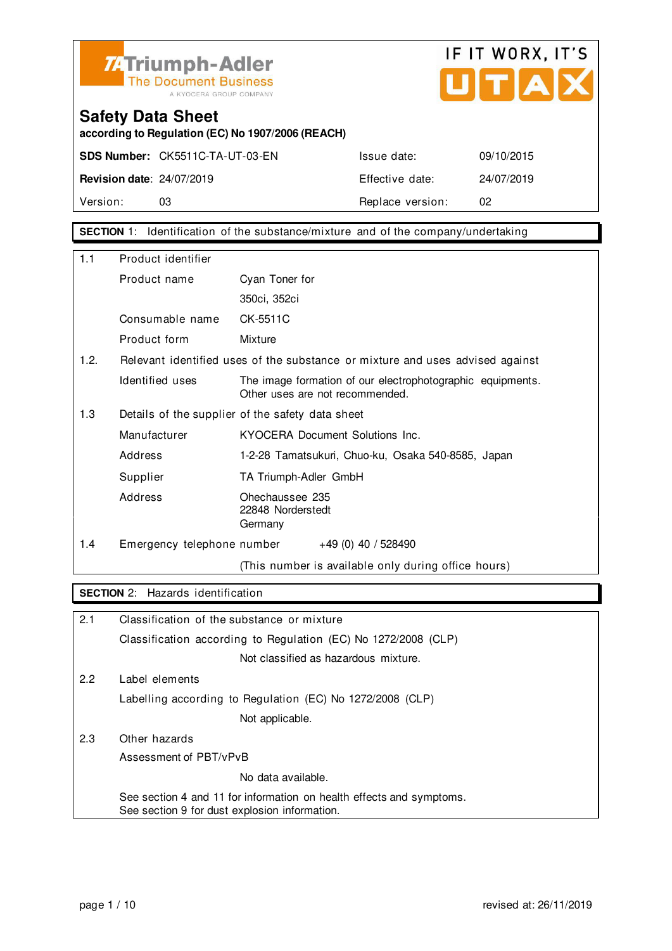



**according to Regulation (EC) No 1907/2006 (REACH)**

**SDS Number:** CK5511C-TA-UT-03-EN Issue date: 09/10/2015 **Revision date**: 24/07/2019 **Effective date:** 24/07/2019 Version: 03 03 Replace version: 02

**SECTION** 1: Identification of the substance/mixture and of the company/undertaking

| 1.1  | Product identifier                               |                                                                                               |  |
|------|--------------------------------------------------|-----------------------------------------------------------------------------------------------|--|
|      |                                                  |                                                                                               |  |
|      | Product name                                     | Cyan Toner for                                                                                |  |
|      |                                                  | 350ci, 352ci                                                                                  |  |
|      | Consumable name                                  | CK-5511C                                                                                      |  |
|      | Product form                                     | Mixture                                                                                       |  |
| 1.2. |                                                  | Relevant identified uses of the substance or mixture and uses advised against                 |  |
|      | Identified uses                                  | The image formation of our electrophotographic equipments.<br>Other uses are not recommended. |  |
| 1.3  | Details of the supplier of the safety data sheet |                                                                                               |  |
|      | Manufacturer                                     | KYOCERA Document Solutions Inc.                                                               |  |
|      | Address                                          | 1-2-28 Tamatsukuri, Chuo-ku, Osaka 540-8585, Japan                                            |  |
|      | Supplier                                         | TA Triumph-Adler GmbH                                                                         |  |
|      | Address                                          | Ohechaussee 235<br>22848 Norderstedt<br>Germany                                               |  |
| 1.4  | Emergency telephone number                       | $+49(0)$ 40 / 528490                                                                          |  |
|      |                                                  | (This number is available only during office hours)                                           |  |

### **SECTION** 2: Hazards identification

| 2.1 | Classification of the substance or mixture                                                                            |
|-----|-----------------------------------------------------------------------------------------------------------------------|
|     | Classification according to Regulation (EC) No 1272/2008 (CLP)                                                        |
|     | Not classified as hazardous mixture.                                                                                  |
| 2.2 | Label elements                                                                                                        |
|     | Labelling according to Regulation (EC) No 1272/2008 (CLP)                                                             |
|     | Not applicable.                                                                                                       |
| 2.3 | Other hazards                                                                                                         |
|     | Assessment of PBT/vPvB                                                                                                |
|     | No data available.                                                                                                    |
|     | See section 4 and 11 for information on health effects and symptoms.<br>See section 9 for dust explosion information. |
|     |                                                                                                                       |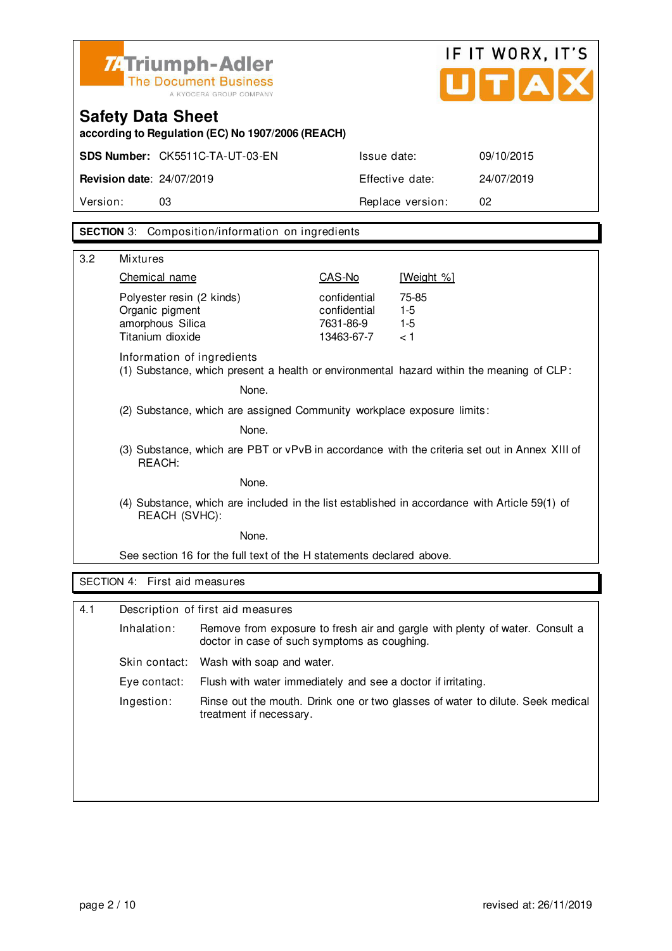| <b>ZATriumph-Adler</b><br>The Document Business |
|-------------------------------------------------|
| A KYOCERA GROUP COMPANY                         |



**according to Regulation (EC) No 1907/2006 (REACH)**

|                                  | <b>SDS Number: CK5511C-TA-UT-03-EN</b> | Issue date:      | 09/10/2015 |
|----------------------------------|----------------------------------------|------------------|------------|
| <b>Revision date: 24/07/2019</b> |                                        | Effective date:  | 24/07/2019 |
| Version:                         | 03                                     | Replace version: |            |

### **SECTION** 3: Composition/information on ingredients

| 3.2 | <b>Mixtures</b>                                                                                                |                                                                        |                                                         |                                                                                               |  |
|-----|----------------------------------------------------------------------------------------------------------------|------------------------------------------------------------------------|---------------------------------------------------------|-----------------------------------------------------------------------------------------------|--|
|     | Chemical name                                                                                                  |                                                                        | CAS-No                                                  | [Weight %]                                                                                    |  |
|     | Polyester resin (2 kinds)<br>Organic pigment<br>amorphous Silica<br>Titanium dioxide                           |                                                                        | confidential<br>confidential<br>7631-86-9<br>13463-67-7 | 75-85<br>$1 - 5$<br>$1 - 5$<br>< 1                                                            |  |
|     | Information of ingredients                                                                                     |                                                                        |                                                         | (1) Substance, which present a health or environmental hazard within the meaning of CLP:      |  |
|     |                                                                                                                | None.                                                                  |                                                         |                                                                                               |  |
|     |                                                                                                                | (2) Substance, which are assigned Community workplace exposure limits: |                                                         |                                                                                               |  |
|     |                                                                                                                | None.                                                                  |                                                         |                                                                                               |  |
|     | REACH:                                                                                                         |                                                                        |                                                         | (3) Substance, which are PBT or vPvB in accordance with the criteria set out in Annex XIII of |  |
|     |                                                                                                                | None.                                                                  |                                                         |                                                                                               |  |
|     | (4) Substance, which are included in the list established in accordance with Article 59(1) of<br>REACH (SVHC): |                                                                        |                                                         |                                                                                               |  |
|     | None.                                                                                                          |                                                                        |                                                         |                                                                                               |  |
|     | See section 16 for the full text of the H statements declared above.                                           |                                                                        |                                                         |                                                                                               |  |
|     | SECTION 4: First aid measures                                                                                  |                                                                        |                                                         |                                                                                               |  |
| 4.1 |                                                                                                                | Description of first aid measures                                      |                                                         |                                                                                               |  |
|     | Inhalation:                                                                                                    | doctor in case of such symptoms as coughing.                           |                                                         | Remove from exposure to fresh air and gargle with plenty of water. Consult a                  |  |
|     | Skin contact:                                                                                                  | Wash with soap and water.                                              |                                                         |                                                                                               |  |
|     | Eye contact:                                                                                                   | Flush with water immediately and see a doctor if irritating.           |                                                         |                                                                                               |  |
|     | Ingestion:                                                                                                     | treatment if necessary.                                                |                                                         | Rinse out the mouth. Drink one or two glasses of water to dilute. Seek medical                |  |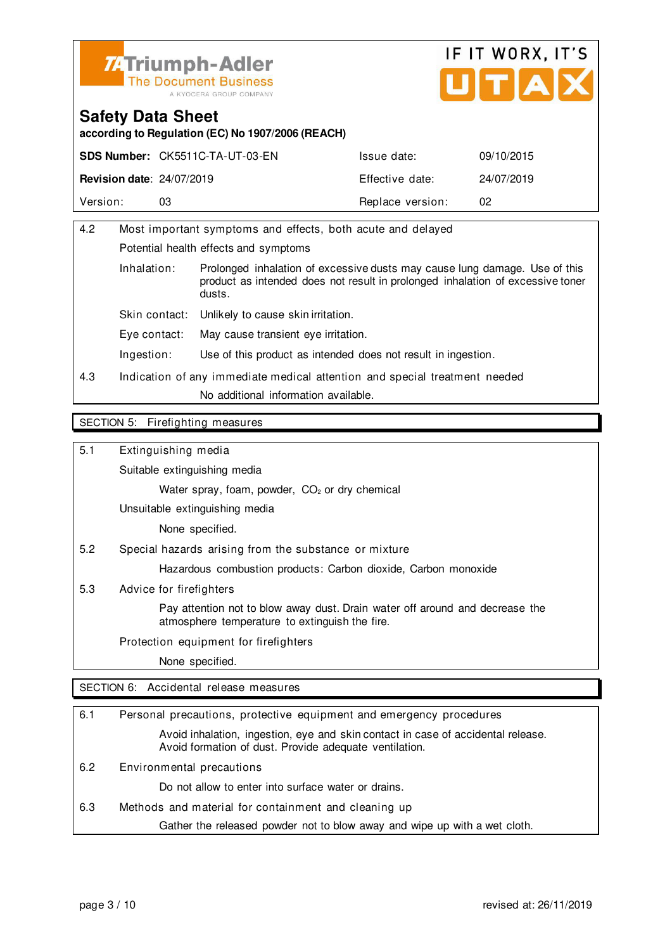



**according to Regulation (EC) No 1907/2006 (REACH)**

|                                  | <b>SDS Number: CK5511C-TA-UT-03-EN</b> | Issue date:      | 09/10/2015 |
|----------------------------------|----------------------------------------|------------------|------------|
| <b>Revision date: 24/07/2019</b> |                                        | Effective date:  | 24/07/2019 |
| Version:                         | 03                                     | Replace version: | 02         |

| 4.2                   |                                                                            | Most important symptoms and effects, both acute and delayed                                                                                                  |  |
|-----------------------|----------------------------------------------------------------------------|--------------------------------------------------------------------------------------------------------------------------------------------------------------|--|
|                       | Potential health effects and symptoms                                      |                                                                                                                                                              |  |
| Inhalation:<br>dusts. |                                                                            | Prolonged inhalation of excessive dusts may cause lung damage. Use of this<br>product as intended does not result in prolonged inhalation of excessive toner |  |
|                       | Skin contact:                                                              | Unlikely to cause skin irritation.                                                                                                                           |  |
|                       | Eve contact:                                                               | May cause transient eye irritation.                                                                                                                          |  |
|                       | Ingestion:                                                                 | Use of this product as intended does not result in ingestion.                                                                                                |  |
| 4.3                   | Indication of any immediate medical attention and special treatment needed |                                                                                                                                                              |  |
|                       | No additional information available.                                       |                                                                                                                                                              |  |
|                       |                                                                            |                                                                                                                                                              |  |

#### SECTION 5: Firefighting measures

5.1 Extinguishing media

Suitable extinguishing media

Water spray, foam, powder, CO<sub>2</sub> or dry chemical

Unsuitable extinguishing media

None specified.

5.2 Special hazards arising from the substance or mixture

Hazardous combustion products: Carbon dioxide, Carbon monoxide

5.3 Advice for firefighters

 Pay attention not to blow away dust. Drain water off around and decrease the atmosphere temperature to extinguish the fire.

Protection equipment for firefighters

None specified.

SECTION 6: Accidental release measures

| 6.1 | Personal precautions, protective equipment and emergency procedures                                                                        |  |  |
|-----|--------------------------------------------------------------------------------------------------------------------------------------------|--|--|
|     | Avoid inhalation, ingestion, eye and skin contact in case of accidental release.<br>Avoid formation of dust. Provide adequate ventilation. |  |  |
| 6.2 | Environmental precautions                                                                                                                  |  |  |
|     | Do not allow to enter into surface water or drains.                                                                                        |  |  |
| 6.3 | Methods and material for containment and cleaning up                                                                                       |  |  |
|     | Gather the released powder not to blow away and wipe up with a wet cloth.                                                                  |  |  |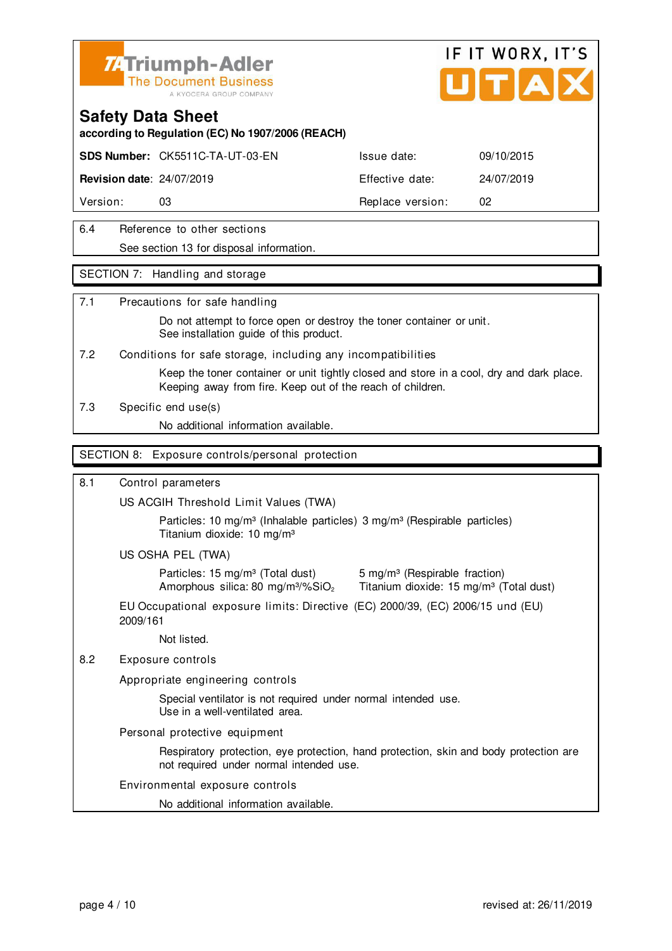



**according to Regulation (EC) No 1907/2006 (REACH)**

**SDS Number:** CK5511C-TA-UT-03-EN Issue date: 09/10/2015

**Revision date**: 24/07/2019 Effective date: 24/07/2019

Version: 03 **Replace version:** 02

### 6.4 Reference to other sections See section 13 for disposal information.

### SECTION 7: Handling and storage

### 7.1 Precautions for safe handling

 Do not attempt to force open or destroy the toner container or unit. See installation guide of this product.

7.2 Conditions for safe storage, including any incompatibilities

 Keep the toner container or unit tightly closed and store in a cool, dry and dark place. Keeping away from fire. Keep out of the reach of children.

7.3 Specific end use(s)

No additional information available.

### SECTION 8: Exposure controls/personal protection

### 8.1 Control parameters

US ACGIH Threshold Limit Values (TWA)

Particles: 10 mg/m<sup>3</sup> (Inhalable particles) 3 mg/m<sup>3</sup> (Respirable particles) Titanium dioxide: 10 mg/m³

US OSHA PEL (TWA)

Particles: 15 mg/m<sup>3</sup> (Total dust) 5 mg/m<sup>3</sup> (Respirable fraction)

Amorphous silica: 80 mg/m $3\%$ SiO<sub>2</sub> Titanium dioxide: 15 mg/m $3$  (Total dust)

EU Occupational exposure limits: Directive (EC) 2000/39, (EC) 2006/15 und (EU) 2009/161

Not listed.

### 8.2 Exposure controls

Appropriate engineering controls

 Special ventilator is not required under normal intended use. Use in a well-ventilated area.

Personal protective equipment

 Respiratory protection, eye protection, hand protection, skin and body protection are not required under normal intended use.

### Environmental exposure controls

No additional information available.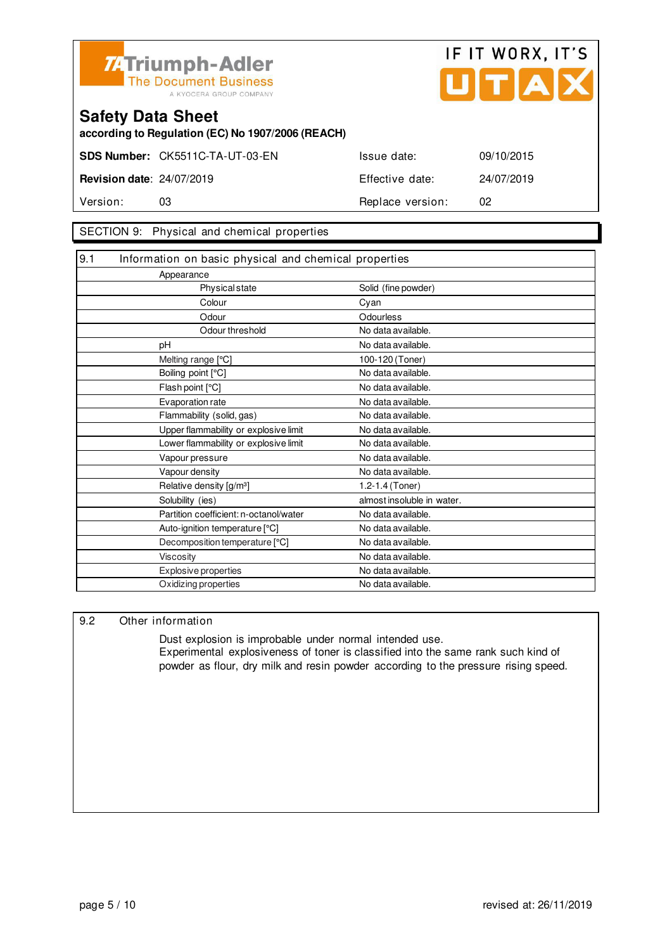



**according to Regulation (EC) No 1907/2006 (REACH)**

**SDS Number:** CK5511C-TA-UT-03-EN Issue date: 09/10/2015 **Revision date**: 24/07/2019 Effective date: 24/07/2019

Version: 03 **Replace version:** 02

### SECTION 9: Physical and chemical properties

| 9.1<br>Information on basic physical and chemical properties |                            |
|--------------------------------------------------------------|----------------------------|
| Appearance                                                   |                            |
| <b>Physical state</b>                                        | Solid (fine powder)        |
| Colour                                                       | Cyan                       |
| Odour                                                        | Odourless                  |
| Odour threshold                                              | No data available.         |
| pH                                                           | No data available.         |
| Melting range [°C]                                           | 100-120 (Toner)            |
| Boiling point [°C]                                           | No data available.         |
| Flash point [°C]                                             | No data available.         |
| Evaporation rate                                             | No data available.         |
| Flammability (solid, gas)                                    | No data available.         |
| Upper flammability or explosive limit                        | No data available.         |
| Lower flammability or explosive limit                        | No data available.         |
| Vapour pressure                                              | No data available.         |
| Vapour density                                               | No data available.         |
| Relative density [g/m <sup>3</sup> ]                         | 1.2-1.4 (Toner)            |
| Solubility (ies)                                             | almost insoluble in water. |
| Partition coefficient: n-octanol/water                       | No data available.         |
| Auto-ignition temperature [°C]                               | No data available.         |
| Decomposition temperature [°C]                               | No data available.         |
| Viscosity                                                    | No data available.         |
| Explosive properties                                         | No data available.         |
| Oxidizing properties                                         | No data available.         |

### 9.2 Other information

 Dust explosion is improbable under normal intended use. Experimental explosiveness of toner is classified into the same rank such kind of powder as flour, dry milk and resin powder according to the pressure rising speed.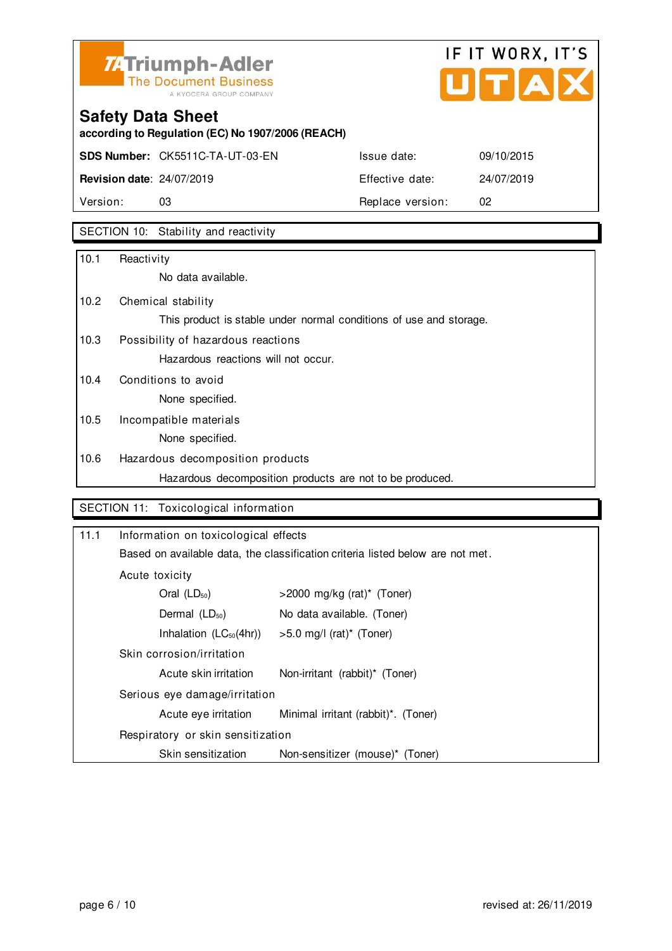

## IF IT WORX, IT'S Ů TIAI

## **Safety Data Sheet**

**according to Regulation (EC) No 1907/2006 (REACH)**

**SDS Number:** CK5511C-TA-UT-03-EN Issue date: 09/10/2015

**Revision date**: 24/07/2019 Effective date: 24/07/2019 Version: 03 03 Replace version: 02

SECTION 10: Stability and reactivity

| 10.1 | Reactivity                                                         |
|------|--------------------------------------------------------------------|
|      | No data available.                                                 |
| 10.2 | Chemical stability                                                 |
|      | This product is stable under normal conditions of use and storage. |
| 10.3 | Possibility of hazardous reactions                                 |
|      | Hazardous reactions will not occur.                                |
| 10.4 | Conditions to avoid                                                |
|      | None specified.                                                    |
| 10.5 | Incompatible materials                                             |
|      | None specified.                                                    |
| 10.6 | Hazardous decomposition products                                   |
|      | Hazardous decomposition products are not to be produced.           |

### SECTION 11: Toxicological information

| 11.1           | Information on toxicological effects<br>Based on available data, the classification criteria listed below are not met. |                                     |  |
|----------------|------------------------------------------------------------------------------------------------------------------------|-------------------------------------|--|
|                |                                                                                                                        |                                     |  |
| Acute toxicity |                                                                                                                        |                                     |  |
|                | Oral $(LD_{50})$                                                                                                       | $>$ 2000 mg/kg (rat)* (Toner)       |  |
|                | Dermal $(LD_{50})$                                                                                                     | No data available. (Toner)          |  |
|                | Inhalation $(LC_{50}(4hr))$                                                                                            | $>5.0$ mg/l (rat)* (Toner)          |  |
|                | Skin corrosion/irritation                                                                                              |                                     |  |
|                | Acute skin irritation                                                                                                  | Non-irritant (rabbit)* (Toner)      |  |
|                | Serious eye damage/irritation                                                                                          |                                     |  |
|                | Acute eye irritation                                                                                                   | Minimal irritant (rabbit)*. (Toner) |  |
|                | Respiratory or skin sensitization                                                                                      |                                     |  |
|                | Skin sensitization                                                                                                     | Non-sensitizer (mouse)* (Toner)     |  |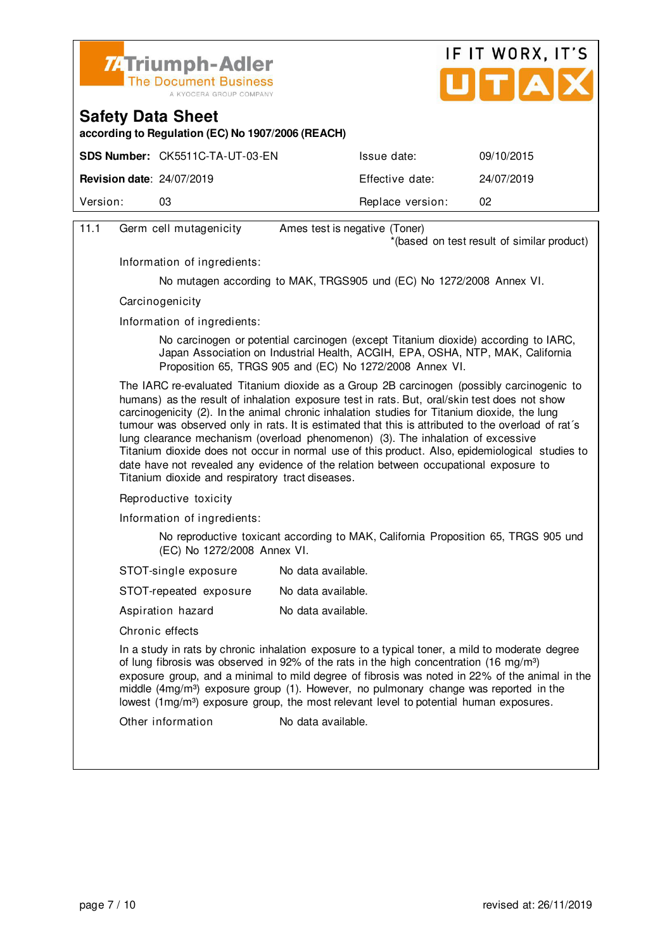



**according to Regulation (EC) No 1907/2006 (REACH)**

|                                  | <b>SDS Number: CK5511C-TA-UT-03-EN</b> | Issue date:      | 09/10/2015 |
|----------------------------------|----------------------------------------|------------------|------------|
| <b>Revision date: 24/07/2019</b> |                                        | Effective date:  | 24/07/2019 |
| Version:                         | 03                                     | Replace version: | 02         |
|                                  |                                        |                  |            |

| 11.1                                                                                                                                                                                                                                                                                                                                                                                                                                                                                                                                  | Germ cell mutagenicity                                                                                                                                                                                                                                                                                                                                                                                                                                                                                                                                                                                                                                                                                                                                                                                                                                                                                                                                                                                                                           | Ames test is negative (Toner)                                        |  |
|---------------------------------------------------------------------------------------------------------------------------------------------------------------------------------------------------------------------------------------------------------------------------------------------------------------------------------------------------------------------------------------------------------------------------------------------------------------------------------------------------------------------------------------|--------------------------------------------------------------------------------------------------------------------------------------------------------------------------------------------------------------------------------------------------------------------------------------------------------------------------------------------------------------------------------------------------------------------------------------------------------------------------------------------------------------------------------------------------------------------------------------------------------------------------------------------------------------------------------------------------------------------------------------------------------------------------------------------------------------------------------------------------------------------------------------------------------------------------------------------------------------------------------------------------------------------------------------------------|----------------------------------------------------------------------|--|
|                                                                                                                                                                                                                                                                                                                                                                                                                                                                                                                                       |                                                                                                                                                                                                                                                                                                                                                                                                                                                                                                                                                                                                                                                                                                                                                                                                                                                                                                                                                                                                                                                  | *(based on test result of similar product)                           |  |
|                                                                                                                                                                                                                                                                                                                                                                                                                                                                                                                                       | Information of ingredients:                                                                                                                                                                                                                                                                                                                                                                                                                                                                                                                                                                                                                                                                                                                                                                                                                                                                                                                                                                                                                      |                                                                      |  |
|                                                                                                                                                                                                                                                                                                                                                                                                                                                                                                                                       |                                                                                                                                                                                                                                                                                                                                                                                                                                                                                                                                                                                                                                                                                                                                                                                                                                                                                                                                                                                                                                                  | No mutagen according to MAK, TRGS905 und (EC) No 1272/2008 Annex VI. |  |
|                                                                                                                                                                                                                                                                                                                                                                                                                                                                                                                                       | Carcinogenicity<br>Information of ingredients:<br>No carcinogen or potential carcinogen (except Titanium dioxide) according to IARC,<br>Japan Association on Industrial Health, ACGIH, EPA, OSHA, NTP, MAK, California<br>Proposition 65, TRGS 905 and (EC) No 1272/2008 Annex VI.<br>The IARC re-evaluated Titanium dioxide as a Group 2B carcinogen (possibly carcinogenic to<br>humans) as the result of inhalation exposure test in rats. But, oral/skin test does not show<br>carcinogenicity (2). In the animal chronic inhalation studies for Titanium dioxide, the lung<br>tumour was observed only in rats. It is estimated that this is attributed to the overload of rat's<br>lung clearance mechanism (overload phenomenon) (3). The inhalation of excessive<br>Titanium dioxide does not occur in normal use of this product. Also, epidemiological studies to<br>date have not revealed any evidence of the relation between occupational exposure to<br>Titanium dioxide and respiratory tract diseases.<br>Reproductive toxicity |                                                                      |  |
|                                                                                                                                                                                                                                                                                                                                                                                                                                                                                                                                       |                                                                                                                                                                                                                                                                                                                                                                                                                                                                                                                                                                                                                                                                                                                                                                                                                                                                                                                                                                                                                                                  |                                                                      |  |
|                                                                                                                                                                                                                                                                                                                                                                                                                                                                                                                                       |                                                                                                                                                                                                                                                                                                                                                                                                                                                                                                                                                                                                                                                                                                                                                                                                                                                                                                                                                                                                                                                  |                                                                      |  |
|                                                                                                                                                                                                                                                                                                                                                                                                                                                                                                                                       |                                                                                                                                                                                                                                                                                                                                                                                                                                                                                                                                                                                                                                                                                                                                                                                                                                                                                                                                                                                                                                                  |                                                                      |  |
|                                                                                                                                                                                                                                                                                                                                                                                                                                                                                                                                       |                                                                                                                                                                                                                                                                                                                                                                                                                                                                                                                                                                                                                                                                                                                                                                                                                                                                                                                                                                                                                                                  |                                                                      |  |
|                                                                                                                                                                                                                                                                                                                                                                                                                                                                                                                                       | Information of ingredients:                                                                                                                                                                                                                                                                                                                                                                                                                                                                                                                                                                                                                                                                                                                                                                                                                                                                                                                                                                                                                      |                                                                      |  |
|                                                                                                                                                                                                                                                                                                                                                                                                                                                                                                                                       | No reproductive toxicant according to MAK, California Proposition 65, TRGS 905 und<br>(EC) No 1272/2008 Annex VI.                                                                                                                                                                                                                                                                                                                                                                                                                                                                                                                                                                                                                                                                                                                                                                                                                                                                                                                                |                                                                      |  |
|                                                                                                                                                                                                                                                                                                                                                                                                                                                                                                                                       | STOT-single exposure                                                                                                                                                                                                                                                                                                                                                                                                                                                                                                                                                                                                                                                                                                                                                                                                                                                                                                                                                                                                                             | No data available.                                                   |  |
|                                                                                                                                                                                                                                                                                                                                                                                                                                                                                                                                       | STOT-repeated exposure                                                                                                                                                                                                                                                                                                                                                                                                                                                                                                                                                                                                                                                                                                                                                                                                                                                                                                                                                                                                                           | No data available.                                                   |  |
|                                                                                                                                                                                                                                                                                                                                                                                                                                                                                                                                       | Aspiration hazard                                                                                                                                                                                                                                                                                                                                                                                                                                                                                                                                                                                                                                                                                                                                                                                                                                                                                                                                                                                                                                | No data available.                                                   |  |
| Chronic effects<br>In a study in rats by chronic inhalation exposure to a typical toner, a mild to moderate degree<br>of lung fibrosis was observed in 92% of the rats in the high concentration (16 mg/m <sup>3</sup> )<br>exposure group, and a minimal to mild degree of fibrosis was noted in 22% of the animal in the<br>middle (4mg/m <sup>3</sup> ) exposure group (1). However, no pulmonary change was reported in the<br>lowest (1mg/m <sup>3</sup> ) exposure group, the most relevant level to potential human exposures. |                                                                                                                                                                                                                                                                                                                                                                                                                                                                                                                                                                                                                                                                                                                                                                                                                                                                                                                                                                                                                                                  |                                                                      |  |
|                                                                                                                                                                                                                                                                                                                                                                                                                                                                                                                                       |                                                                                                                                                                                                                                                                                                                                                                                                                                                                                                                                                                                                                                                                                                                                                                                                                                                                                                                                                                                                                                                  |                                                                      |  |
|                                                                                                                                                                                                                                                                                                                                                                                                                                                                                                                                       | Other information                                                                                                                                                                                                                                                                                                                                                                                                                                                                                                                                                                                                                                                                                                                                                                                                                                                                                                                                                                                                                                | No data available.                                                   |  |
|                                                                                                                                                                                                                                                                                                                                                                                                                                                                                                                                       |                                                                                                                                                                                                                                                                                                                                                                                                                                                                                                                                                                                                                                                                                                                                                                                                                                                                                                                                                                                                                                                  |                                                                      |  |
|                                                                                                                                                                                                                                                                                                                                                                                                                                                                                                                                       |                                                                                                                                                                                                                                                                                                                                                                                                                                                                                                                                                                                                                                                                                                                                                                                                                                                                                                                                                                                                                                                  |                                                                      |  |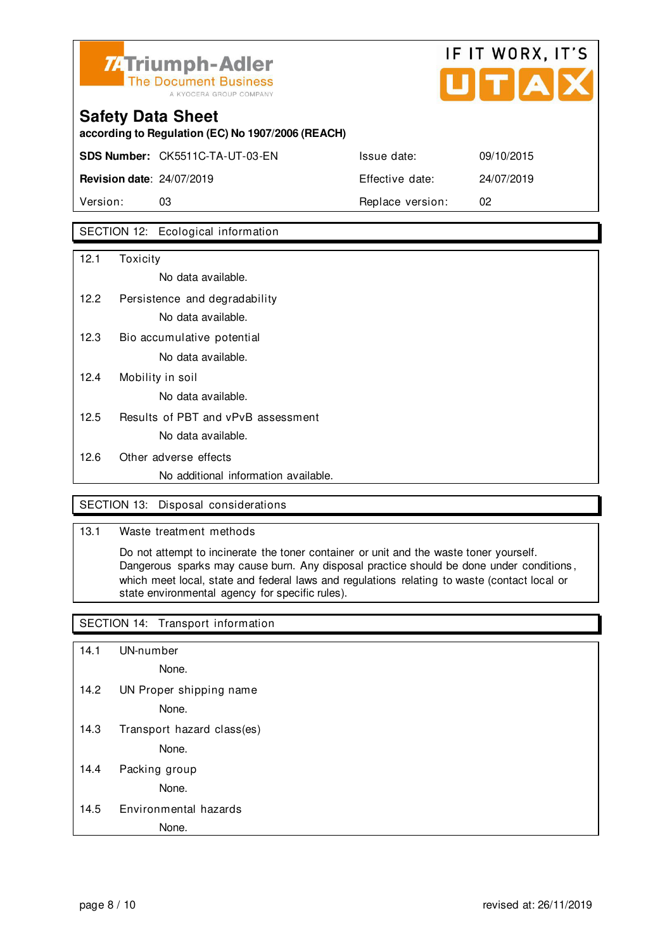

## IF IT WORX, IT'S

## **Safety Data Sheet according to Regulation (EC) No 1907/2006 (REACH) SDS Number:** CK5511C-TA-UT-03-EN Issue date: 09/10/2015 **Revision date**: 24/07/2019 Effective date: 24/07/2019

Version: 03 **Replace version:** 02

### SECTION 12: Ecological information

| 12.1 | Toxicity                             |
|------|--------------------------------------|
|      | No data available.                   |
| 12.2 | Persistence and degradability        |
|      | No data available.                   |
| 12.3 | Bio accumulative potential           |
|      | No data available.                   |
| 12.4 | Mobility in soil                     |
|      | No data available.                   |
| 12.5 | Results of PBT and vPvB assessment   |
|      | No data available.                   |
| 12.6 | Other adverse effects                |
|      | No additional information available. |

### SECTION 13: Disposal considerations

### 13.1 Waste treatment methods

 Do not attempt to incinerate the toner container or unit and the waste toner yourself. Dangerous sparks may cause burn. Any disposal practice should be done under conditions , which meet local, state and federal laws and regulations relating to waste (contact local or state environmental agency for specific rules).

### SECTION 14: Transport information

14.1 UN-number

None.

14.2 UN Proper shipping name

None.

14.3 Transport hazard class(es)

None.

14.4 Packing group

None.

### 14.5 Environmental hazards

None.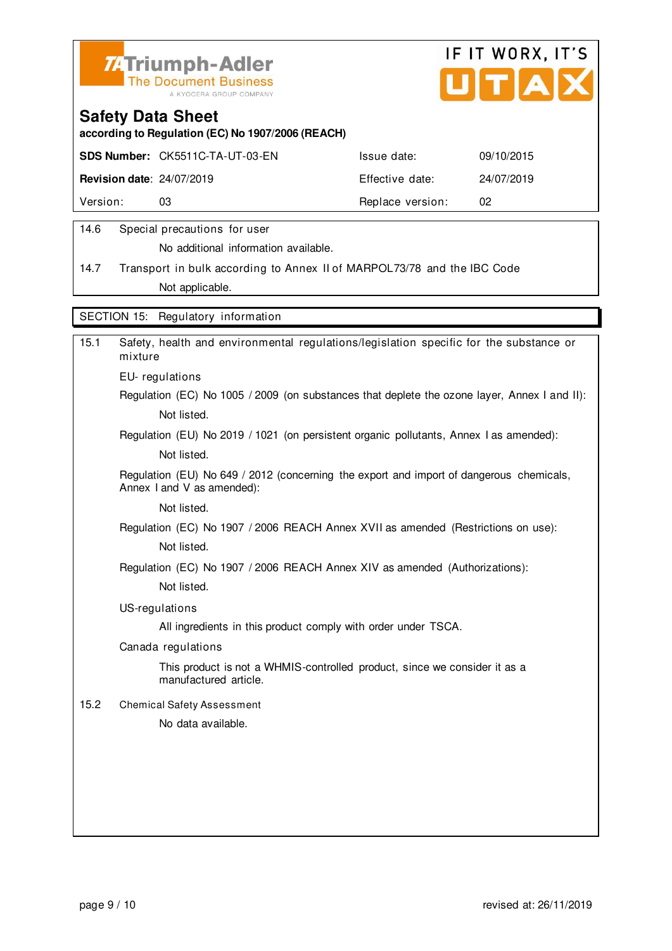



**according to Regulation (EC) No 1907/2006 (REACH)**

|                                  | <b>SDS Number: CK5511C-TA-UT-03-EN</b> | Issue date:      | 09/10/2015 |
|----------------------------------|----------------------------------------|------------------|------------|
| <b>Revision date: 24/07/2019</b> |                                        | Effective date:  | 24/07/2019 |
| Version:                         | 03                                     | Replace version: | -02        |
|                                  |                                        |                  |            |

### 14.6 Special precautions for user

No additional information available.

14.7 Transport in bulk according to Annex II of MARPOL73/78 and the IBC Code Not applicable.

SECTION 15: Regulatory information

| 15.1 | Safety, health and environmental regulations/legislation specific for the substance or<br>mixture                     |
|------|-----------------------------------------------------------------------------------------------------------------------|
|      | EU-regulations                                                                                                        |
|      | Regulation (EC) No 1005 / 2009 (on substances that deplete the ozone layer, Annex I and II):                          |
|      | Not listed.                                                                                                           |
|      | Regulation (EU) No 2019 / 1021 (on persistent organic pollutants, Annex I as amended):                                |
|      | Not listed.                                                                                                           |
|      | Regulation (EU) No 649 / 2012 (concerning the export and import of dangerous chemicals,<br>Annex I and V as amended): |
|      | Not listed.                                                                                                           |
|      | Regulation (EC) No 1907 / 2006 REACH Annex XVII as amended (Restrictions on use):                                     |
|      | Not listed.                                                                                                           |
|      | Regulation (EC) No 1907 / 2006 REACH Annex XIV as amended (Authorizations):                                           |
|      | Not listed.                                                                                                           |
|      | US-regulations                                                                                                        |
|      | All ingredients in this product comply with order under TSCA.                                                         |
|      | Canada regulations                                                                                                    |
|      | This product is not a WHMIS-controlled product, since we consider it as a<br>manufactured article.                    |
| 15.2 | <b>Chemical Safety Assessment</b>                                                                                     |
|      | No data available.                                                                                                    |
|      |                                                                                                                       |
|      |                                                                                                                       |
|      |                                                                                                                       |
|      |                                                                                                                       |
|      |                                                                                                                       |
|      |                                                                                                                       |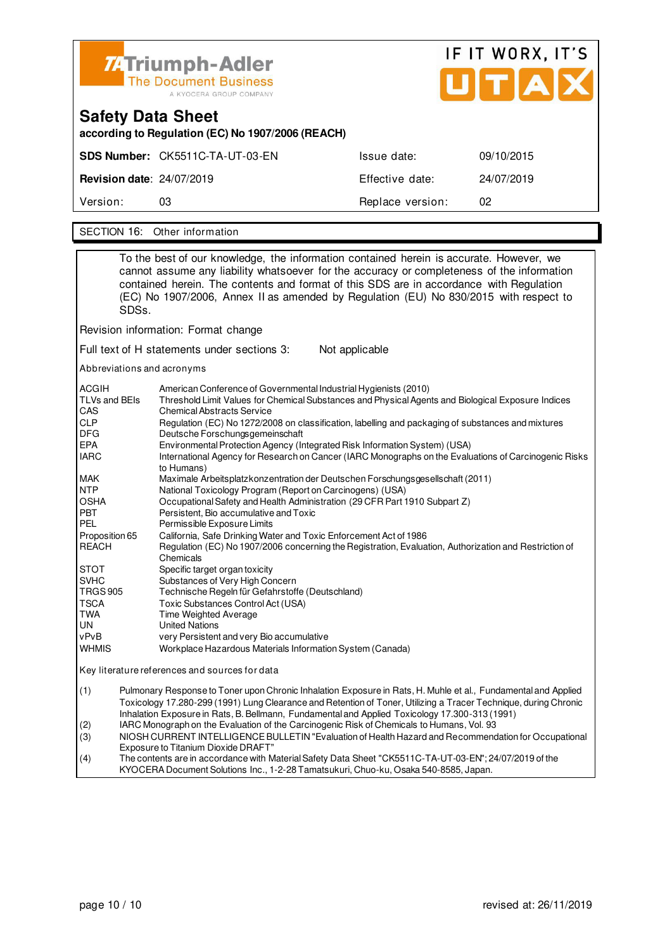

# IF IT WORX, IT'S

| Safety Data Sheet<br>according to Regulation (EC) No 1907/2006 (REACH) |                                 |                  |            |  |  |
|------------------------------------------------------------------------|---------------------------------|------------------|------------|--|--|
|                                                                        | SDS Number: CK5511C-TA-UT-03-EN | Issue date:      | 09/10/2015 |  |  |
| <b>Revision date: 24/07/2019</b>                                       |                                 | Effective date:  | 24/07/2019 |  |  |
| Version:                                                               | 03                              | Replace version: | 02         |  |  |
|                                                                        |                                 |                  |            |  |  |

SECTION 16: Other information

|                                                                                                                                           | SDSs.                                                                                                                                                                                                                                                                                                                                                                 | To the best of our knowledge, the information contained herein is accurate. However, we<br>cannot assume any liability whatsoever for the accuracy or completeness of the information<br>contained herein. The contents and format of this SDS are in accordance with Regulation<br>(EC) No 1907/2006, Annex II as amended by Regulation (EU) No 830/2015 with respect to |  |
|-------------------------------------------------------------------------------------------------------------------------------------------|-----------------------------------------------------------------------------------------------------------------------------------------------------------------------------------------------------------------------------------------------------------------------------------------------------------------------------------------------------------------------|---------------------------------------------------------------------------------------------------------------------------------------------------------------------------------------------------------------------------------------------------------------------------------------------------------------------------------------------------------------------------|--|
|                                                                                                                                           |                                                                                                                                                                                                                                                                                                                                                                       | Revision information: Format change                                                                                                                                                                                                                                                                                                                                       |  |
|                                                                                                                                           |                                                                                                                                                                                                                                                                                                                                                                       | Full text of H statements under sections 3:<br>Not applicable                                                                                                                                                                                                                                                                                                             |  |
|                                                                                                                                           |                                                                                                                                                                                                                                                                                                                                                                       | Abbreviations and acronyms                                                                                                                                                                                                                                                                                                                                                |  |
| <b>ACGIH</b><br>CAS<br><b>CLP</b><br>DFG                                                                                                  | American Conference of Governmental Industrial Hygienists (2010)<br>TLVs and BEIs<br>Threshold Limit Values for Chemical Substances and Physical Agents and Biological Exposure Indices<br><b>Chemical Abstracts Service</b><br>Regulation (EC) No 1272/2008 on classification, labelling and packaging of substances and mixtures<br>Deutsche Forschungsgemeinschaft |                                                                                                                                                                                                                                                                                                                                                                           |  |
| EPA<br><b>IARC</b>                                                                                                                        |                                                                                                                                                                                                                                                                                                                                                                       | Environmental Protection Agency (Integrated Risk Information System) (USA)<br>International Agency for Research on Cancer (IARC Monographs on the Evaluations of Carcinogenic Risks<br>to Humans)                                                                                                                                                                         |  |
| MAK<br>NTP<br><b>OSHA</b><br>PBT<br>Persistent, Bio accumulative and Toxic<br><b>PEL</b><br>Permissible Exposure Limits<br>Proposition 65 |                                                                                                                                                                                                                                                                                                                                                                       | Maximale Arbeitsplatzkonzentration der Deutschen Forschungsgesellschaft (2011)<br>National Toxicology Program (Report on Carcinogens) (USA)<br>Occupational Safety and Health Administration (29 CFR Part 1910 Subpart Z)<br>California, Safe Drinking Water and Toxic Enforcement Act of 1986                                                                            |  |
| <b>REACH</b>                                                                                                                              |                                                                                                                                                                                                                                                                                                                                                                       | Regulation (EC) No 1907/2006 concerning the Registration, Evaluation, Authorization and Restriction of<br>Chemicals                                                                                                                                                                                                                                                       |  |
| STOT<br><b>SVHC</b><br><b>TRGS 905</b><br>TSCA<br>TWA<br>UN<br>vPvB<br><b>WHMIS</b>                                                       |                                                                                                                                                                                                                                                                                                                                                                       | Specific target organ toxicity<br>Substances of Very High Concern<br>Technische Regeln für Gefahrstoffe (Deutschland)<br>Toxic Substances Control Act (USA)<br>Time Weighted Average<br><b>United Nations</b><br>very Persistent and very Bio accumulative<br>Workplace Hazardous Materials Information System (Canada)                                                   |  |
| Key literature references and sources for data                                                                                            |                                                                                                                                                                                                                                                                                                                                                                       |                                                                                                                                                                                                                                                                                                                                                                           |  |
| (1)                                                                                                                                       | Pulmonary Response to Toner upon Chronic Inhalation Exposure in Rats, H. Muhle et al., Fundamental and Applied<br>Toxicology 17.280-299 (1991) Lung Clearance and Retention of Toner, Utilizing a Tracer Technique, during Chronic<br>Inhalation Exposure in Rats, B. Bellmann, Fundamental and Applied Toxicology 17.300-313 (1991)                                  |                                                                                                                                                                                                                                                                                                                                                                           |  |
| (2)<br>(3)                                                                                                                                |                                                                                                                                                                                                                                                                                                                                                                       | IARC Monograph on the Evaluation of the Carcinogenic Risk of Chemicals to Humans, Vol. 93<br>NIOSH CURRENT INTELLIGENCE BULLETIN "Evaluation of Health Hazard and Recommendation for Occupational                                                                                                                                                                         |  |
| (4)                                                                                                                                       |                                                                                                                                                                                                                                                                                                                                                                       | Exposure to Titanium Dioxide DRAFT"<br>The contents are in accordance with Material Safety Data Sheet "CK5511C-TA-UT-03-EN"; 24/07/2019 of the<br>KYOCERA Document Solutions Inc., 1-2-28 Tamatsukuri, Chuo-ku, Osaka 540-8585, Japan.                                                                                                                                    |  |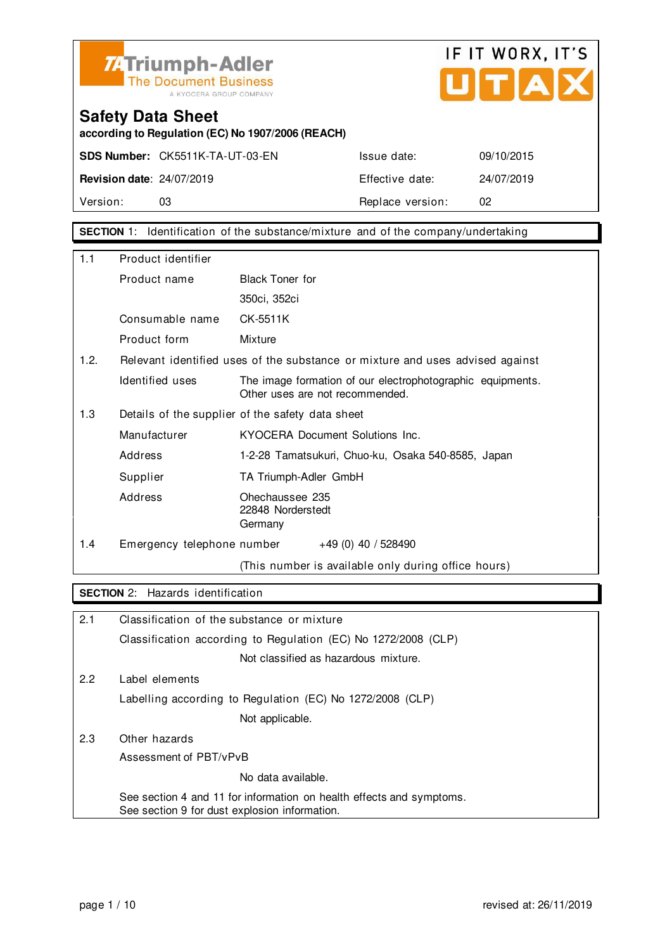



**according to Regulation (EC) No 1907/2006 (REACH)**

**SDS Number:** CK5511K-TA-UT-03-EN Issue date: 09/10/2015 **Revision date**: 24/07/2019 Effective date: 24/07/2019 Version: 03 03 Replace version: 02

**SECTION** 1: Identification of the substance/mixture and of the company/undertaking

| 1.1                                                     | Product identifier         |                                                                                               |  |
|---------------------------------------------------------|----------------------------|-----------------------------------------------------------------------------------------------|--|
|                                                         | Product name               | <b>Black Toner for</b>                                                                        |  |
|                                                         |                            | 350ci, 352ci                                                                                  |  |
|                                                         | Consumable name            | CK-5511K                                                                                      |  |
|                                                         | Product form               | Mixture                                                                                       |  |
| 1.2.                                                    |                            | Relevant identified uses of the substance or mixture and uses advised against                 |  |
|                                                         | Identified uses            | The image formation of our electrophotographic equipments.<br>Other uses are not recommended. |  |
| 1.3<br>Details of the supplier of the safety data sheet |                            |                                                                                               |  |
|                                                         | Manufacturer               | KYOCERA Document Solutions Inc.                                                               |  |
|                                                         | Address                    | 1-2-28 Tamatsukuri, Chuo-ku, Osaka 540-8585, Japan                                            |  |
|                                                         | Supplier                   | TA Triumph-Adler GmbH                                                                         |  |
|                                                         | Address                    | Ohechaussee 235<br>22848 Norderstedt<br>Germany                                               |  |
| 1.4                                                     | Emergency telephone number | +49 (0) 40 / 528490                                                                           |  |
|                                                         |                            | (This number is available only during office hours)                                           |  |

### **SECTION** 2: Hazards identification

| 2.1 | Classification of the substance or mixture                                                                            |
|-----|-----------------------------------------------------------------------------------------------------------------------|
|     | Classification according to Regulation (EC) No 1272/2008 (CLP)                                                        |
|     | Not classified as hazardous mixture.                                                                                  |
| 2.2 | Label elements                                                                                                        |
|     | Labelling according to Regulation (EC) No 1272/2008 (CLP)                                                             |
|     | Not applicable.                                                                                                       |
| 2.3 | Other hazards                                                                                                         |
|     | Assessment of PBT/vPvB                                                                                                |
|     | No data available.                                                                                                    |
|     | See section 4 and 11 for information on health effects and symptoms.<br>See section 9 for dust explosion information. |
|     |                                                                                                                       |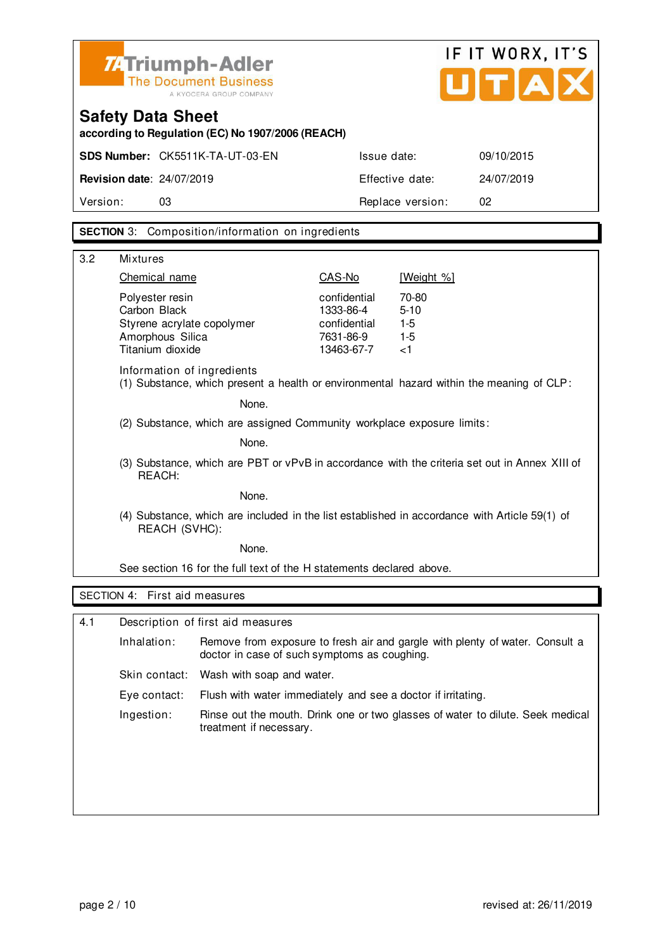

## IF IT WORX, IT'S UTAX

### **Safety Data Sheet**

**according to Regulation (EC) No 1907/2006 (REACH)**

| <b>Revision date: 24/07/2019</b><br>Effective date: | 24/07/2019 |
|-----------------------------------------------------|------------|
| Version:<br>Replace version:<br>03                  |            |

### **SECTION** 3: Composition/information on ingredients

| 3.2 | <b>Mixtures</b>                                                                                                        |                                                                      |                                              |  |  |
|-----|------------------------------------------------------------------------------------------------------------------------|----------------------------------------------------------------------|----------------------------------------------|--|--|
|     | Chemical name                                                                                                          | CAS-No                                                               | [Weight %]                                   |  |  |
|     | Polyester resin<br>Carbon Black<br>Styrene acrylate copolymer<br>Amorphous Silica<br>Titanium dioxide                  | confidential<br>1333-86-4<br>confidential<br>7631-86-9<br>13463-67-7 | 70-80<br>$5 - 10$<br>$1-5$<br>$1-5$<br>$<$ 1 |  |  |
|     | Information of ingredients<br>(1) Substance, which present a health or environmental hazard within the meaning of CLP: |                                                                      |                                              |  |  |
|     | None.                                                                                                                  |                                                                      |                                              |  |  |
|     | (2) Substance, which are assigned Community workplace exposure limits:<br>None.                                        |                                                                      |                                              |  |  |
|     |                                                                                                                        |                                                                      |                                              |  |  |
|     | (3) Substance, which are PBT or vPvB in accordance with the criteria set out in Annex XIII of<br>REACH:                |                                                                      |                                              |  |  |
|     | None.                                                                                                                  |                                                                      |                                              |  |  |
|     | (4) Substance, which are included in the list established in accordance with Article 59(1) of<br>REACH (SVHC):         |                                                                      |                                              |  |  |
|     | None.                                                                                                                  |                                                                      |                                              |  |  |
|     | See section 16 for the full text of the H statements declared above.                                                   |                                                                      |                                              |  |  |
|     | SECTION 4: First aid measures                                                                                          |                                                                      |                                              |  |  |
|     |                                                                                                                        |                                                                      |                                              |  |  |
| 4.1 | Description of first aid measures                                                                                      |                                                                      |                                              |  |  |

| Inhalation:  | Remove from exposure to fresh air and gargle with plenty of water. Consult a<br>doctor in case of such symptoms as coughing. |  |
|--------------|------------------------------------------------------------------------------------------------------------------------------|--|
|              | Skin contact: Wash with soap and water.                                                                                      |  |
| Eye contact: | Flush with water immediately and see a doctor if irritating.                                                                 |  |
| Ingestion:   | Rinse out the mouth. Drink one or two glasses of water to dilute. Seek medical<br>treatment if necessary.                    |  |
|              |                                                                                                                              |  |
|              |                                                                                                                              |  |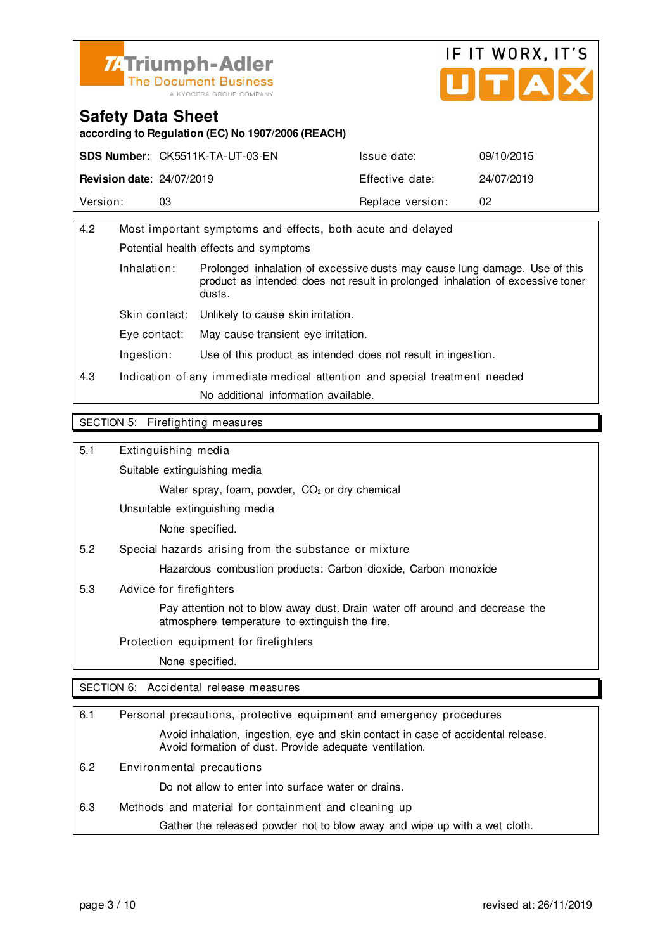



**according to Regulation (EC) No 1907/2006 (REACH)**

|                                  | <b>SDS Number: CK5511K-TA-UT-03-EN</b> | Issue date:      | 09/10/2015 |
|----------------------------------|----------------------------------------|------------------|------------|
| <b>Revision date: 24/07/2019</b> |                                        | Effective date:  | 24/07/2019 |
| Version:                         | 03                                     | Replace version: | 02         |

| 4.2 | Most important symptoms and effects, both acute and delayed                |                                                                                                                                                                        |  |
|-----|----------------------------------------------------------------------------|------------------------------------------------------------------------------------------------------------------------------------------------------------------------|--|
|     | Potential health effects and symptoms                                      |                                                                                                                                                                        |  |
|     | Inhalation:                                                                | Prolonged inhalation of excessive dusts may cause lung damage. Use of this<br>product as intended does not result in prolonged inhalation of excessive toner<br>dusts. |  |
|     | Skin contact:                                                              | Unlikely to cause skin irritation.                                                                                                                                     |  |
|     | Eve contact:                                                               | May cause transient eye irritation.                                                                                                                                    |  |
|     | Ingestion:                                                                 | Use of this product as intended does not result in ingestion.                                                                                                          |  |
| 4.3 | Indication of any immediate medical attention and special treatment needed |                                                                                                                                                                        |  |
|     |                                                                            | No additional information available.                                                                                                                                   |  |
|     |                                                                            |                                                                                                                                                                        |  |

#### SECTION 5: Firefighting measures

5.1 Extinguishing media

Suitable extinguishing media

Water spray, foam, powder, CO<sub>2</sub> or dry chemical

Unsuitable extinguishing media

None specified.

5.2 Special hazards arising from the substance or mixture

Hazardous combustion products: Carbon dioxide, Carbon monoxide

5.3 Advice for firefighters

 Pay attention not to blow away dust. Drain water off around and decrease the atmosphere temperature to extinguish the fire.

Protection equipment for firefighters

None specified.

SECTION 6: Accidental release measures

| 6.1 | Personal precautions, protective equipment and emergency procedures                                                                        |
|-----|--------------------------------------------------------------------------------------------------------------------------------------------|
|     | Avoid inhalation, ingestion, eye and skin contact in case of accidental release.<br>Avoid formation of dust. Provide adequate ventilation. |
| 6.2 | Environmental precautions                                                                                                                  |
|     | Do not allow to enter into surface water or drains.                                                                                        |
| 6.3 | Methods and material for containment and cleaning up                                                                                       |
|     | Gather the released powder not to blow away and wipe up with a wet cloth.                                                                  |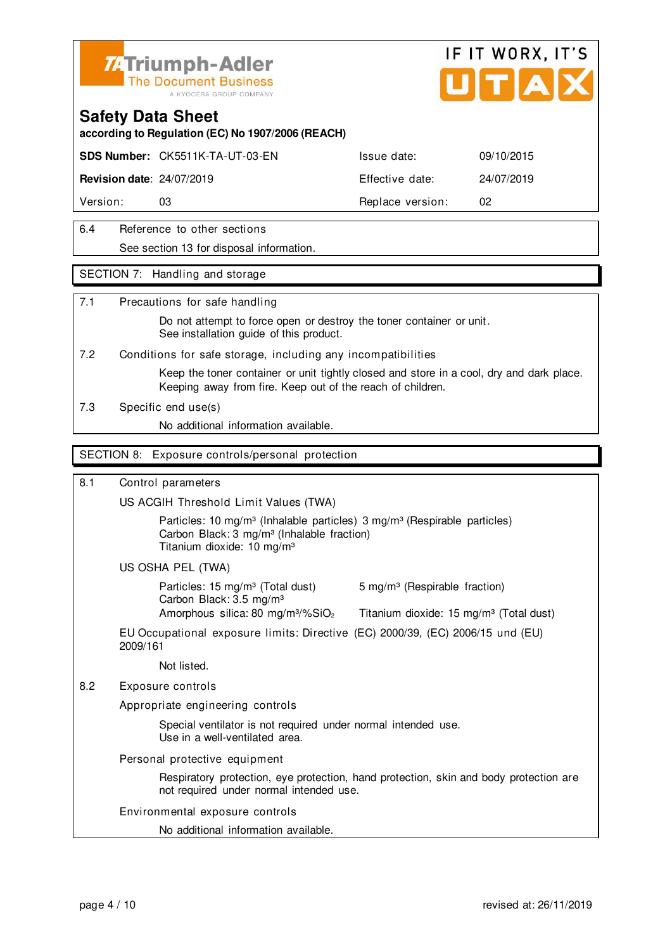



**according to Regulation (EC) No 1907/2006 (REACH)**

**SDS Number:** CK5511K-TA-UT-03-EN Issue date: 09/10/2015

**Revision date**: 24/07/2019 **Effective date:** 24/07/2019

Version: 03 **Replace version:** 02

### 6.4 Reference to other sections See section 13 for disposal information.

### SECTION 7: Handling and storage

### 7.1 Precautions for safe handling

 Do not attempt to force open or destroy the toner container or unit. See installation guide of this product.

7.2 Conditions for safe storage, including any incompatibilities

 Keep the toner container or unit tightly closed and store in a cool, dry and dark place. Keeping away from fire. Keep out of the reach of children.

7.3 Specific end use(s)

No additional information available.

### SECTION 8: Exposure controls/personal protection

### 8.1 Control parameters

US ACGIH Threshold Limit Values (TWA)

Particles: 10 mg/m<sup>3</sup> (Inhalable particles) 3 mg/m<sup>3</sup> (Respirable particles) Carbon Black: 3 mg/m³ (Inhalable fraction) Titanium dioxide: 10 mg/m³

US OSHA PEL (TWA)

Particles: 15 mg/m<sup>3</sup> (Total dust) 5 mg/m<sup>3</sup> (Respirable fraction) Carbon Black: 3.5 mg/m³ Amorphous silica: 80 mg/m $\frac{3}{2}$  Titanium dioxide: 15 mg/m $\frac{3}{2}$  (Total dust)

EU Occupational exposure limits: Directive (EC) 2000/39, (EC) 2006/15 und (EU) 2009/161

Not listed.

8.2 Exposure controls

Appropriate engineering controls

 Special ventilator is not required under normal intended use. Use in a well-ventilated area.

Personal protective equipment

 Respiratory protection, eye protection, hand protection, skin and body protection are not required under normal intended use.

Environmental exposure controls

No additional information available.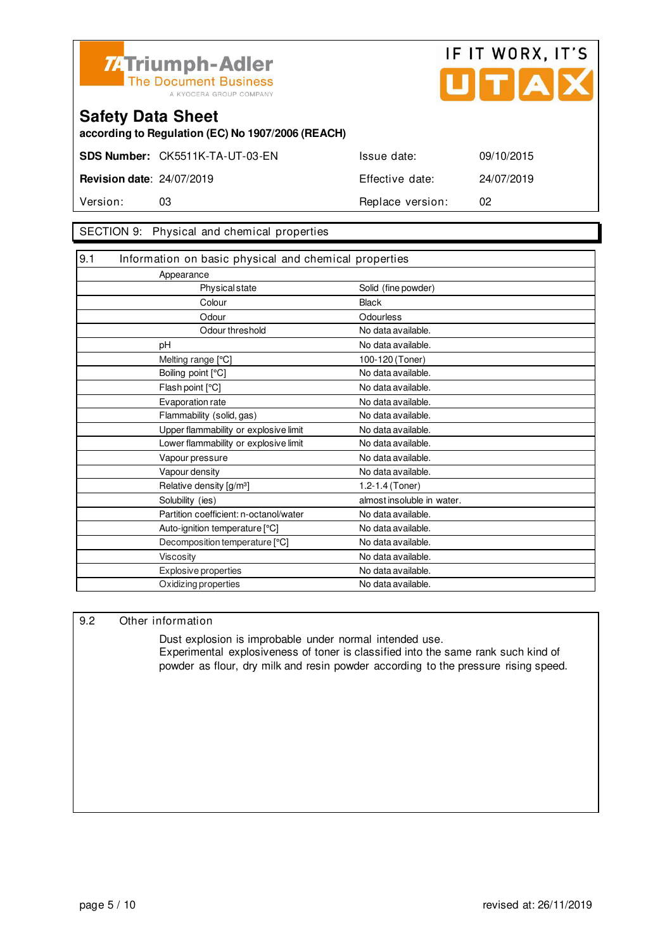



**according to Regulation (EC) No 1907/2006 (REACH)**

**SDS Number:** CK5511K-TA-UT-03-EN Issue date: 09/10/2015

**Revision date**: 24/07/2019 Effective date: 24/07/2019 Version: 03 **Replace version:** 02

### SECTION 9: Physical and chemical properties

| 9.1 | Information on basic physical and chemical properties |                            |
|-----|-------------------------------------------------------|----------------------------|
|     | Appearance                                            |                            |
|     | Physical state                                        | Solid (fine powder)        |
|     | Colour                                                | <b>Black</b>               |
|     | Odour                                                 | Odourless                  |
|     | Odour threshold                                       | No data available.         |
|     | pH                                                    | No data available.         |
|     | Melting range [°C]                                    | 100-120 (Toner)            |
|     | Boiling point [°C]                                    | No data available.         |
|     | Flash point [°C]                                      | No data available.         |
|     | Evaporation rate                                      | No data available.         |
|     | Flammability (solid, gas)                             | No data available.         |
|     | Upper flammability or explosive limit                 | No data available.         |
|     | Lower flammability or explosive limit                 | No data available.         |
|     | Vapour pressure                                       | No data available.         |
|     | Vapour density                                        | No data available.         |
|     | Relative density [g/m <sup>3</sup> ]                  | 1.2-1.4 (Toner)            |
|     | Solubility (ies)                                      | almost insoluble in water. |
|     | Partition coefficient: n-octanol/water                | No data available.         |
|     | Auto-ignition temperature [°C]                        | No data available.         |
|     | Decomposition temperature [°C]                        | No data available.         |
|     | <b>Viscosity</b>                                      | No data available.         |
|     | Explosive properties                                  | No data available.         |
|     | Oxidizing properties                                  | No data available.         |

### 9.2 Other information

 Dust explosion is improbable under normal intended use. Experimental explosiveness of toner is classified into the same rank such kind of powder as flour, dry milk and resin powder according to the pressure rising speed.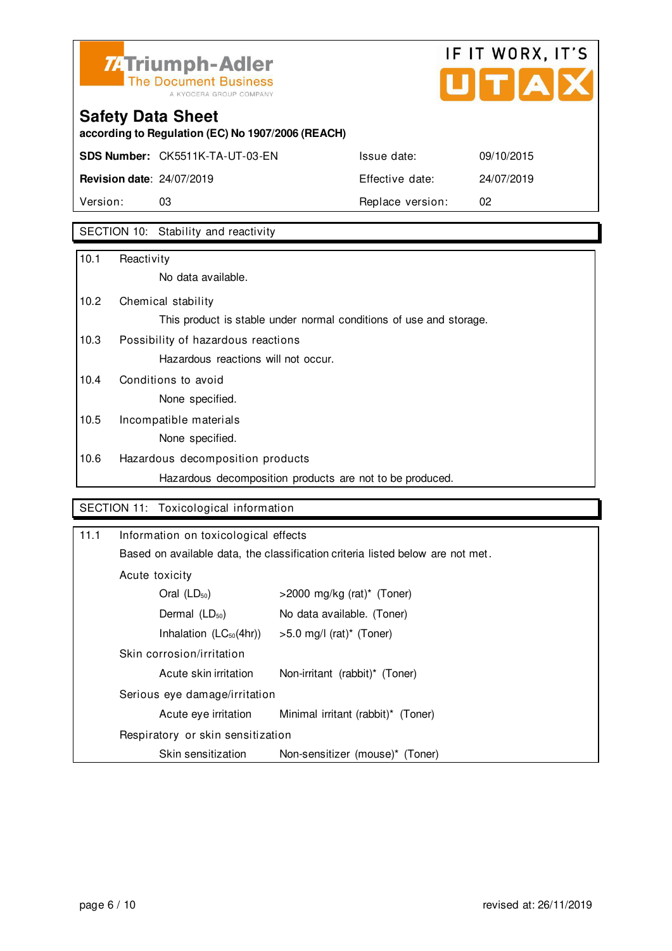

## IF IT WORX, IT'S Ů TIAI

## **Safety Data Sheet**

**according to Regulation (EC) No 1907/2006 (REACH)**

**SDS Number:** CK5511K-TA-UT-03-EN Issue date: 09/10/2015

**Revision date**: 24/07/2019 Effective date: 24/07/2019 Version: 03 03 Replace version: 02

### SECTION 10: Stability and reactivity

| 10.1 | Reactivity                                                         |
|------|--------------------------------------------------------------------|
|      | No data available.                                                 |
| 10.2 | Chemical stability                                                 |
|      | This product is stable under normal conditions of use and storage. |
| 10.3 | Possibility of hazardous reactions                                 |
|      | Hazardous reactions will not occur.                                |
| 10.4 | Conditions to avoid                                                |
|      | None specified.                                                    |
| 10.5 | Incompatible materials                                             |
|      | None specified.                                                    |
| 10.6 | Hazardous decomposition products                                   |
|      | Hazardous decomposition products are not to be produced.           |

### SECTION 11: Toxicological information

| 11.1                          | Information on toxicological effects                                           |                                        |  |
|-------------------------------|--------------------------------------------------------------------------------|----------------------------------------|--|
|                               | Based on available data, the classification criteria listed below are not met. |                                        |  |
|                               | Acute toxicity                                                                 |                                        |  |
|                               | Oral $(LD_{50})$                                                               | $>$ 2000 mg/kg (rat)* (Toner)          |  |
|                               | Dermal $(LD_{50})$                                                             | No data available. (Toner)             |  |
|                               | Inhalation $(LC_{50}(4hr))$                                                    | $>5.0$ mg/l (rat) <sup>*</sup> (Toner) |  |
|                               | Skin corrosion/irritation                                                      |                                        |  |
|                               | Acute skin irritation                                                          | Non-irritant (rabbit)* (Toner)         |  |
| Serious eye damage/irritation |                                                                                |                                        |  |
|                               | Acute eye irritation                                                           | Minimal irritant (rabbit)* (Toner)     |  |
|                               | Respiratory or skin sensitization                                              |                                        |  |
|                               | Skin sensitization                                                             | Non-sensitizer (mouse)* (Toner)        |  |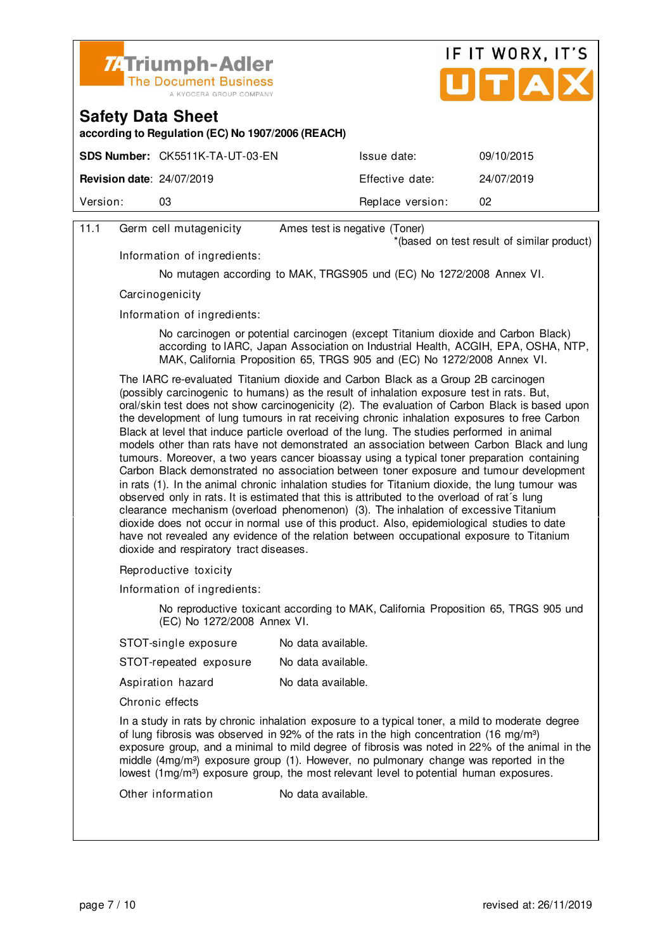



**according to Regulation (EC) No 1907/2006 (REACH)**

|                                  | <b>SDS Number: CK5511K-TA-UT-03-EN</b> | Issue date:      | 09/10/2015 |
|----------------------------------|----------------------------------------|------------------|------------|
| <b>Revision date: 24/07/2019</b> |                                        | Effective date:  | 24/07/2019 |
| Version:                         | 03                                     | Replace version: | 02         |
|                                  |                                        |                  |            |

### 11.1 Germ cell mutagenicity Ames test is negative (Toner)

\*(based on test result of similar product)

Information of ingredients:

No mutagen according to MAK, TRGS905 und (EC) No 1272/2008 Annex VI.

**Carcinogenicity** 

Information of ingredients:

 No carcinogen or potential carcinogen (except Titanium dioxide and Carbon Black) according to IARC, Japan Association on Industrial Health, ACGIH, EPA, OSHA, NTP, MAK, California Proposition 65, TRGS 905 and (EC) No 1272/2008 Annex VI.

 The IARC re-evaluated Titanium dioxide and Carbon Black as a Group 2B carcinogen (possibly carcinogenic to humans) as the result of inhalation exposure test in rats. But, oral/skin test does not show carcinogenicity (2). The evaluation of Carbon Black is based upon the development of lung tumours in rat receiving chronic inhalation exposures to free Carbon Black at level that induce particle overload of the lung. The studies performed in animal models other than rats have not demonstrated an association between Carbon Black and lung tumours. Moreover, a two years cancer bioassay using a typical toner preparation containing Carbon Black demonstrated no association between toner exposure and tumour development in rats (1). In the animal chronic inhalation studies for Titanium dioxide, the lung tumour was observed only in rats. It is estimated that this is attributed to the overload of rat´s lung clearance mechanism (overload phenomenon) (3). The inhalation of excessive Titanium dioxide does not occur in normal use of this product. Also, epidemiological studies to date have not revealed any evidence of the relation between occupational exposure to Titanium dioxide and respiratory tract diseases.

Reproductive toxicity

Information of ingredients:

 No reproductive toxicant according to MAK, California Proposition 65, TRGS 905 und (EC) No 1272/2008 Annex VI.

| STOT-single exposure                                                                                              | No data available. |
|-------------------------------------------------------------------------------------------------------------------|--------------------|
| STOT-repeated exposure                                                                                            | No data available. |
| Aspiration hazard                                                                                                 | No data available. |
| Chronic effects                                                                                                   |                    |
| In a study in rats by chronic inhalation exposure to a<br>of lung fibrosis was obsensed in 02% of the rate in the |                    |

a typical toner, a mild to moderate degree of lung fibrosis was observed in 92% of the rats in the high concentration (16 mg/m<sup>3</sup>) exposure group, and a minimal to mild degree of fibrosis was noted in 22% of the animal in the middle  $(4mg/m<sup>3</sup>)$  exposure group  $(1)$ . However, no pulmonary change was reported in the lowest  $(1 \text{mq/m}^3)$  exposure group, the most relevant level to potential human exposures.

Other information No data available.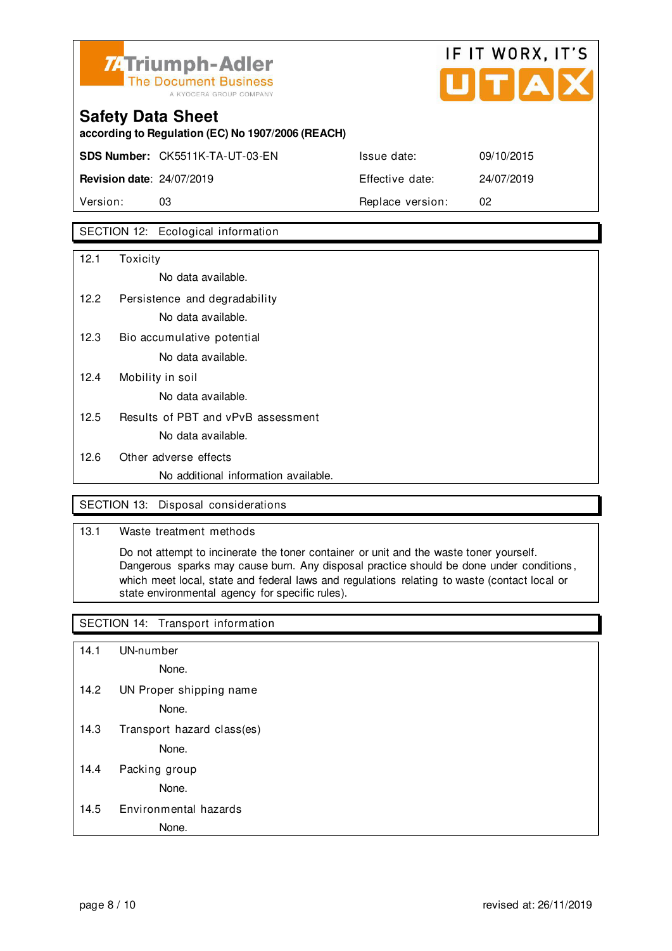

## IF IT WORX, IT'S

## **Safety Data Sheet according to Regulation (EC) No 1907/2006 (REACH) SDS Number:** CK5511K-TA-UT-03-EN Issue date: 09/10/2015 **Revision date**: 24/07/2019 Effective date: 24/07/2019

Version: 03 **Replace version:** 02

### SECTION 12: Ecological information

| 12.1 | Toxicity                             |
|------|--------------------------------------|
|      | No data available.                   |
| 12.2 | Persistence and degradability        |
|      | No data available.                   |
| 12.3 | Bio accumulative potential           |
|      | No data available.                   |
| 12.4 | Mobility in soil                     |
|      | No data available.                   |
| 12.5 | Results of PBT and vPvB assessment   |
|      | No data available.                   |
| 12.6 | Other adverse effects                |
|      | No additional information available. |

### SECTION 13: Disposal considerations

### 13.1 Waste treatment methods

 Do not attempt to incinerate the toner container or unit and the waste toner yourself. Dangerous sparks may cause burn. Any disposal practice should be done under conditions , which meet local, state and federal laws and regulations relating to waste (contact local or state environmental agency for specific rules).

### SECTION 14: Transport information

- 14.1 UN-number
	- None.
- 14.2 UN Proper shipping name

None.

14.3 Transport hazard class(es)

None.

14.4 Packing group

None.

### 14.5 Environmental hazards

None.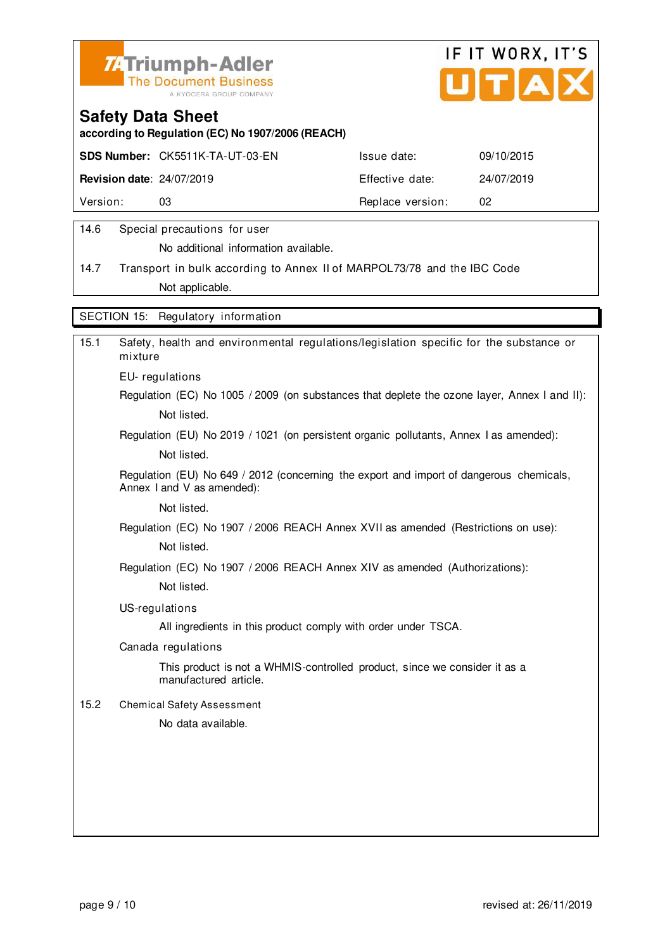



**according to Regulation (EC) No 1907/2006 (REACH)**

|                                  | SDS Number: CK5511K-TA-UT-03-EN | Issue date:      | 09/10/2015 |
|----------------------------------|---------------------------------|------------------|------------|
| <b>Revision date: 24/07/2019</b> |                                 | Effective date:  | 24/07/2019 |
| Version:                         | 03                              | Replace version: | 02         |
|                                  |                                 |                  |            |

### 14.6 Special precautions for user

No additional information available.

14.7 Transport in bulk according to Annex II of MARPOL73/78 and the IBC Code Not applicable.

SECTION 15: Regulatory information

| 15.1 | Safety, health and environmental regulations/legislation specific for the substance or<br>mixture                     |
|------|-----------------------------------------------------------------------------------------------------------------------|
|      | EU-regulations                                                                                                        |
|      | Regulation (EC) No 1005 / 2009 (on substances that deplete the ozone layer, Annex I and II):                          |
|      | Not listed.                                                                                                           |
|      | Regulation (EU) No 2019 / 1021 (on persistent organic pollutants, Annex I as amended):                                |
|      | Not listed.                                                                                                           |
|      | Regulation (EU) No 649 / 2012 (concerning the export and import of dangerous chemicals,<br>Annex I and V as amended): |
|      | Not listed.                                                                                                           |
|      | Regulation (EC) No 1907 / 2006 REACH Annex XVII as amended (Restrictions on use):                                     |
|      | Not listed.                                                                                                           |
|      | Regulation (EC) No 1907 / 2006 REACH Annex XIV as amended (Authorizations):                                           |
|      | Not listed.                                                                                                           |
|      | US-regulations                                                                                                        |
|      | All ingredients in this product comply with order under TSCA.                                                         |
|      | Canada regulations                                                                                                    |
|      | This product is not a WHMIS-controlled product, since we consider it as a<br>manufactured article.                    |
| 15.2 | <b>Chemical Safety Assessment</b>                                                                                     |
|      | No data available.                                                                                                    |
|      |                                                                                                                       |
|      |                                                                                                                       |
|      |                                                                                                                       |
|      |                                                                                                                       |
|      |                                                                                                                       |
|      |                                                                                                                       |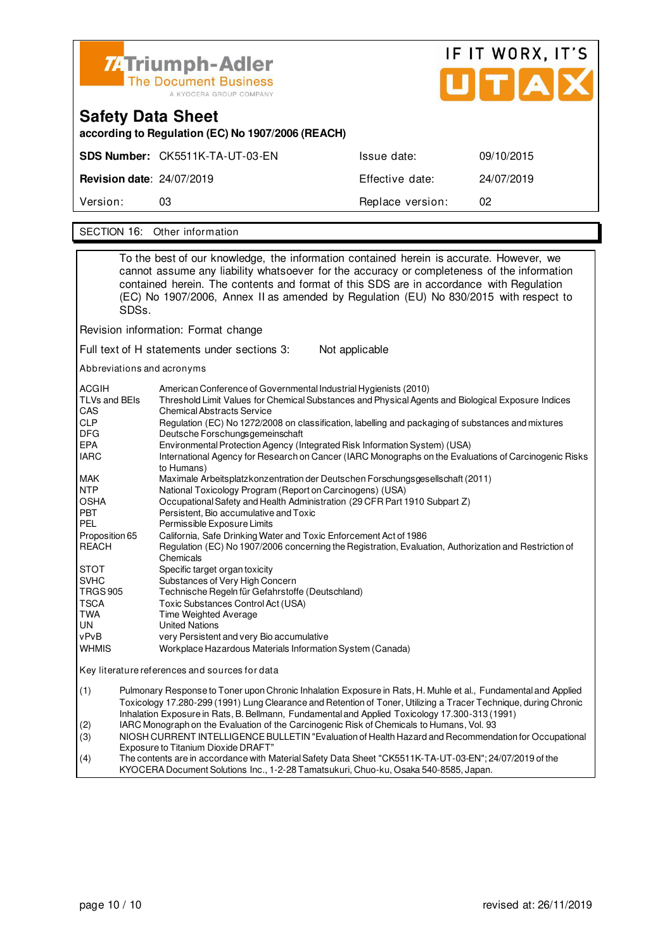

# IF IT WORX, IT'S

| Safety Data Sheet<br>according to Regulation (EC) No 1907/2006 (REACH) |                                 |                  |            |  |
|------------------------------------------------------------------------|---------------------------------|------------------|------------|--|
|                                                                        | SDS Number: CK5511K-TA-UT-03-EN | Issue date:      | 09/10/2015 |  |
| <b>Revision date: 24/07/2019</b>                                       |                                 | Effective date:  | 24/07/2019 |  |
| Version:                                                               | 03                              | Replace version: | 02         |  |
|                                                                        |                                 |                  |            |  |

SECTION 16: Other information

|                                                                                                                                                                        | SDSs.                                                                                                                                                                                                                                                                                                                                | To the best of our knowledge, the information contained herein is accurate. However, we<br>cannot assume any liability whatsoever for the accuracy or completeness of the information<br>contained herein. The contents and format of this SDS are in accordance with Regulation<br>(EC) No 1907/2006, Annex II as amended by Regulation (EU) No 830/2015 with respect to |
|------------------------------------------------------------------------------------------------------------------------------------------------------------------------|--------------------------------------------------------------------------------------------------------------------------------------------------------------------------------------------------------------------------------------------------------------------------------------------------------------------------------------|---------------------------------------------------------------------------------------------------------------------------------------------------------------------------------------------------------------------------------------------------------------------------------------------------------------------------------------------------------------------------|
|                                                                                                                                                                        |                                                                                                                                                                                                                                                                                                                                      | Revision information: Format change                                                                                                                                                                                                                                                                                                                                       |
|                                                                                                                                                                        |                                                                                                                                                                                                                                                                                                                                      | Full text of H statements under sections 3:<br>Not applicable                                                                                                                                                                                                                                                                                                             |
|                                                                                                                                                                        |                                                                                                                                                                                                                                                                                                                                      | Abbreviations and acronyms                                                                                                                                                                                                                                                                                                                                                |
| <b>ACGIH</b><br>TLVs and BEIs<br>CAS                                                                                                                                   |                                                                                                                                                                                                                                                                                                                                      | American Conference of Governmental Industrial Hygienists (2010)<br>Threshold Limit Values for Chemical Substances and Physical Agents and Biological Exposure Indices<br><b>Chemical Abstracts Service</b>                                                                                                                                                               |
| <b>CLP</b><br>DFG                                                                                                                                                      |                                                                                                                                                                                                                                                                                                                                      | Regulation (EC) No 1272/2008 on classification, labelling and packaging of substances and mixtures<br>Deutsche Forschungsgemeinschaft                                                                                                                                                                                                                                     |
| EPA<br><b>IARC</b>                                                                                                                                                     |                                                                                                                                                                                                                                                                                                                                      | Environmental Protection Agency (Integrated Risk Information System) (USA)<br>International Agency for Research on Cancer (IARC Monographs on the Evaluations of Carcinogenic Risks<br>to Humans)                                                                                                                                                                         |
| <b>MAK</b>                                                                                                                                                             |                                                                                                                                                                                                                                                                                                                                      | Maximale Arbeitsplatzkonzentration der Deutschen Forschungsgesellschaft (2011)                                                                                                                                                                                                                                                                                            |
| <b>NTP</b><br>OSHA<br>Occupational Safety and Health Administration (29 CFR Part 1910 Subpart Z)<br><b>PBT</b><br>Persistent, Bio accumulative and Toxic<br><b>PEL</b> |                                                                                                                                                                                                                                                                                                                                      | National Toxicology Program (Report on Carcinogens) (USA)<br>Permissible Exposure Limits                                                                                                                                                                                                                                                                                  |
| Proposition 65<br><b>REACH</b><br>Chemicals                                                                                                                            |                                                                                                                                                                                                                                                                                                                                      | California, Safe Drinking Water and Toxic Enforcement Act of 1986<br>Regulation (EC) No 1907/2006 concerning the Registration, Evaluation, Authorization and Restriction of                                                                                                                                                                                               |
| STOT<br><b>SVHC</b><br><b>TRGS 905</b>                                                                                                                                 |                                                                                                                                                                                                                                                                                                                                      | Specific target organ toxicity<br>Substances of Very High Concern<br>Technische Regeln für Gefahrstoffe (Deutschland)                                                                                                                                                                                                                                                     |
| <b>TSCA</b><br>TWA<br>UN                                                                                                                                               |                                                                                                                                                                                                                                                                                                                                      | Toxic Substances Control Act (USA)<br>Time Weighted Average<br><b>United Nations</b>                                                                                                                                                                                                                                                                                      |
| vPvB<br><b>WHMIS</b>                                                                                                                                                   |                                                                                                                                                                                                                                                                                                                                      | very Persistent and very Bio accumulative<br>Workplace Hazardous Materials Information System (Canada)                                                                                                                                                                                                                                                                    |
| Key literature references and sources for data                                                                                                                         |                                                                                                                                                                                                                                                                                                                                      |                                                                                                                                                                                                                                                                                                                                                                           |
| (1)                                                                                                                                                                    | Pulmonary Response to Toner upon Chronic Inhalation Exposure in Rats, H. Muhle et al., Fundamental and Applied<br>Toxicology 17.280-299 (1991) Lung Clearance and Retention of Toner, Utilizing a Tracer Technique, during Chronic<br>Inhalation Exposure in Rats, B. Bellmann, Fundamental and Applied Toxicology 17.300-313 (1991) |                                                                                                                                                                                                                                                                                                                                                                           |
| (2)<br>(3)                                                                                                                                                             |                                                                                                                                                                                                                                                                                                                                      | IARC Monograph on the Evaluation of the Carcinogenic Risk of Chemicals to Humans, Vol. 93<br>NIOSH CURRENT INTELLIGENCE BULLETIN "Evaluation of Health Hazard and Recommendation for Occupational                                                                                                                                                                         |
| (4)                                                                                                                                                                    | Exposure to Titanium Dioxide DRAFT"<br>The contents are in accordance with Material Safety Data Sheet "CK5511K-TA-UT-03-EN"; 24/07/2019 of the                                                                                                                                                                                       |                                                                                                                                                                                                                                                                                                                                                                           |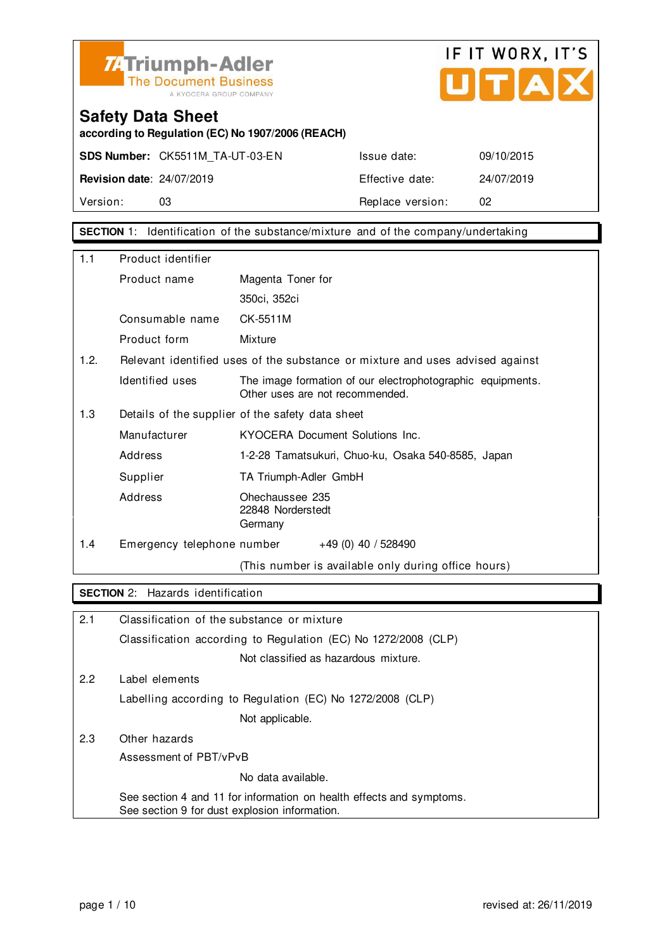



**according to Regulation (EC) No 1907/2006 (REACH)**

**SDS Number:** CK5511M\_TA-UT-03-EN Issue date: 09/10/2015

**Revision date**: 24/07/2019 Effective date: 24/07/2019 Version: 03 03 Replace version: 02

**SECTION** 1: Identification of the substance/mixture and of the company/undertaking

| 1.1  | Product identifier         |                                                                                               |  |  |
|------|----------------------------|-----------------------------------------------------------------------------------------------|--|--|
|      | Product name               | Magenta Toner for                                                                             |  |  |
|      |                            | 350ci, 352ci                                                                                  |  |  |
|      | Consumable name            | CK-5511M                                                                                      |  |  |
|      | Product form               | Mixture                                                                                       |  |  |
| 1.2. |                            | Relevant identified uses of the substance or mixture and uses advised against                 |  |  |
|      | Identified uses            | The image formation of our electrophotographic equipments.<br>Other uses are not recommended. |  |  |
| 1.3  |                            | Details of the supplier of the safety data sheet                                              |  |  |
|      | Manufacturer               | KYOCERA Document Solutions Inc.                                                               |  |  |
|      | Address                    | 1-2-28 Tamatsukuri, Chuo-ku, Osaka 540-8585, Japan                                            |  |  |
|      | Supplier                   | TA Triumph-Adler GmbH                                                                         |  |  |
|      | Address                    | Ohechaussee 235<br>22848 Norderstedt<br>Germany                                               |  |  |
| 1.4  | Emergency telephone number | $+49(0)$ 40 / 528490                                                                          |  |  |
|      |                            | (This number is available only during office hours)                                           |  |  |

### **SECTION** 2: Hazards identification

| 2.1 | Classification of the substance or mixture                                                                            |
|-----|-----------------------------------------------------------------------------------------------------------------------|
|     | Classification according to Regulation (EC) No 1272/2008 (CLP)                                                        |
|     | Not classified as hazardous mixture.                                                                                  |
| 2.2 | Label elements                                                                                                        |
|     | Labelling according to Regulation (EC) No 1272/2008 (CLP)                                                             |
|     | Not applicable.                                                                                                       |
| 2.3 | Other hazards                                                                                                         |
|     | Assessment of PBT/vPvB                                                                                                |
|     | No data available.                                                                                                    |
|     | See section 4 and 11 for information on health effects and symptoms.<br>See section 9 for dust explosion information. |
|     |                                                                                                                       |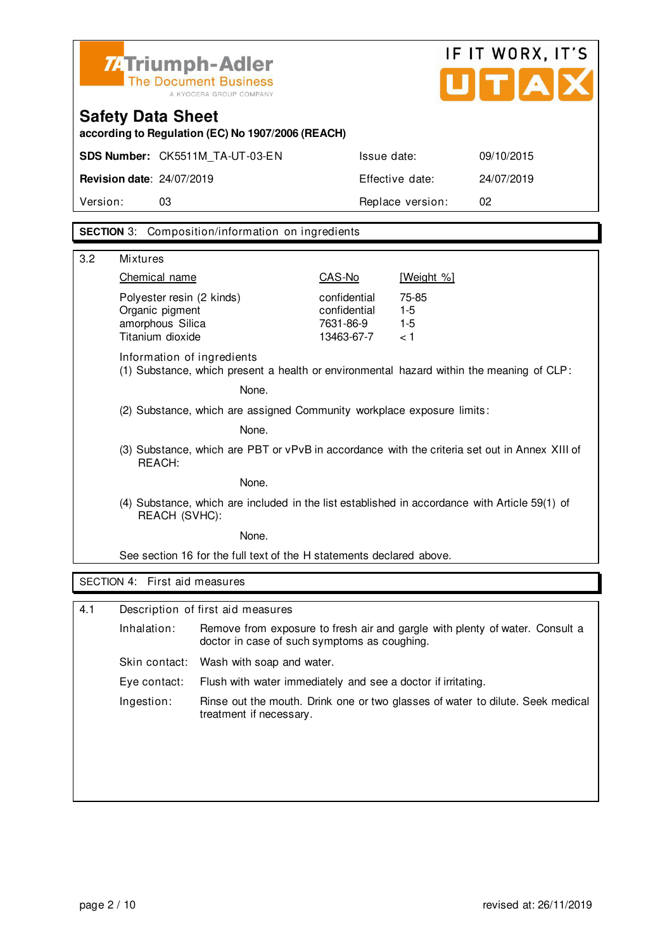| <b>74 Triumph-Adler</b>      |  |
|------------------------------|--|
| <b>The Document Business</b> |  |
| A KYOCERA GROUP COMPANY      |  |



## **Safety Data Sheet according to Regulation (EC) No 1907/2006 (REACH)**

| Version:                         |                                 | Replace version: | 02         |
|----------------------------------|---------------------------------|------------------|------------|
| <b>Revision date: 24/07/2019</b> |                                 | Effective date:  | 24/07/2019 |
|                                  | SDS Number: CK5511M TA-UT-03-EN | Issue date:      | 09/10/2015 |

### **SECTION** 3: Composition/information on ingredients

| 3.2 | <b>Mixtures</b>                                                                                                |                                                                        |                                                         |                                                                                          |  |
|-----|----------------------------------------------------------------------------------------------------------------|------------------------------------------------------------------------|---------------------------------------------------------|------------------------------------------------------------------------------------------|--|
|     | Chemical name                                                                                                  |                                                                        | CAS-No                                                  | [Weight %]                                                                               |  |
|     | Polyester resin (2 kinds)<br>Organic pigment<br>amorphous Silica<br>Titanium dioxide                           |                                                                        | confidential<br>confidential<br>7631-86-9<br>13463-67-7 | 75-85<br>$1-5$<br>$1-5$<br>< 1                                                           |  |
|     | Information of ingredients                                                                                     |                                                                        |                                                         | (1) Substance, which present a health or environmental hazard within the meaning of CLP: |  |
|     |                                                                                                                | None.                                                                  |                                                         |                                                                                          |  |
|     |                                                                                                                | (2) Substance, which are assigned Community workplace exposure limits: |                                                         |                                                                                          |  |
|     |                                                                                                                | None.                                                                  |                                                         |                                                                                          |  |
|     | (3) Substance, which are PBT or vPvB in accordance with the criteria set out in Annex XIII of<br>REACH:        |                                                                        |                                                         |                                                                                          |  |
|     |                                                                                                                | None.                                                                  |                                                         |                                                                                          |  |
|     | (4) Substance, which are included in the list established in accordance with Article 59(1) of<br>REACH (SVHC): |                                                                        |                                                         |                                                                                          |  |
|     | None.                                                                                                          |                                                                        |                                                         |                                                                                          |  |
|     |                                                                                                                | See section 16 for the full text of the H statements declared above.   |                                                         |                                                                                          |  |
|     | SECTION 4: First aid measures                                                                                  |                                                                        |                                                         |                                                                                          |  |
| 4.1 |                                                                                                                | Description of first aid measures                                      |                                                         |                                                                                          |  |
|     |                                                                                                                |                                                                        |                                                         |                                                                                          |  |
|     | Inhalation:                                                                                                    | doctor in case of such symptoms as coughing.                           |                                                         | Remove from exposure to fresh air and gargle with plenty of water. Consult a             |  |
|     | Skin contact:                                                                                                  | Wash with soap and water.                                              |                                                         |                                                                                          |  |
|     | Eye contact:                                                                                                   | Flush with water immediately and see a doctor if irritating.           |                                                         |                                                                                          |  |
|     | Ingestion:                                                                                                     | treatment if necessary.                                                |                                                         | Rinse out the mouth. Drink one or two glasses of water to dilute. Seek medical           |  |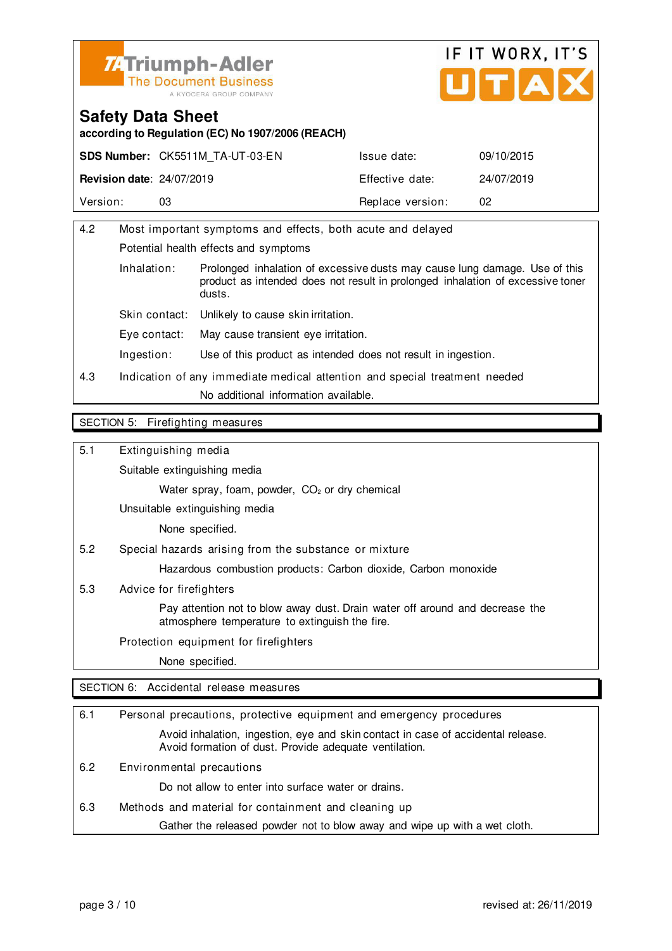



**according to Regulation (EC) No 1907/2006 (REACH)**

|                                  | <b>SDS Number: CK5511M TA-UT-03-EN</b> | Issue date:      | 09/10/2015 |
|----------------------------------|----------------------------------------|------------------|------------|
| <b>Revision date: 24/07/2019</b> |                                        | Effective date:  | 24/07/2019 |
| Version:                         | 03                                     | Replace version: | 02         |

| 4.2                   | Most important symptoms and effects, both acute and delayed                |                                                                                                                                                              |  |
|-----------------------|----------------------------------------------------------------------------|--------------------------------------------------------------------------------------------------------------------------------------------------------------|--|
|                       | Potential health effects and symptoms                                      |                                                                                                                                                              |  |
| Inhalation:<br>dusts. |                                                                            | Prolonged inhalation of excessive dusts may cause lung damage. Use of this<br>product as intended does not result in prolonged inhalation of excessive toner |  |
|                       | Skin contact:                                                              | Unlikely to cause skin irritation.                                                                                                                           |  |
|                       | Eve contact:                                                               | May cause transient eye irritation.                                                                                                                          |  |
|                       | Ingestion:                                                                 | Use of this product as intended does not result in ingestion.                                                                                                |  |
| 4.3                   | Indication of any immediate medical attention and special treatment needed |                                                                                                                                                              |  |
|                       | No additional information available.                                       |                                                                                                                                                              |  |
|                       |                                                                            |                                                                                                                                                              |  |

#### SECTION 5: Firefighting measures

5.1 Extinguishing media

Suitable extinguishing media

Water spray, foam, powder, CO<sub>2</sub> or dry chemical

Unsuitable extinguishing media

None specified.

5.2 Special hazards arising from the substance or mixture

Hazardous combustion products: Carbon dioxide, Carbon monoxide

5.3 Advice for firefighters

 Pay attention not to blow away dust. Drain water off around and decrease the atmosphere temperature to extinguish the fire.

Protection equipment for firefighters

None specified.

SECTION 6: Accidental release measures

| 6.1 | Personal precautions, protective equipment and emergency procedures                                                                        |  |  |
|-----|--------------------------------------------------------------------------------------------------------------------------------------------|--|--|
|     | Avoid inhalation, ingestion, eye and skin contact in case of accidental release.<br>Avoid formation of dust. Provide adequate ventilation. |  |  |
| 6.2 | Environmental precautions                                                                                                                  |  |  |
|     | Do not allow to enter into surface water or drains.                                                                                        |  |  |
| 6.3 | Methods and material for containment and cleaning up                                                                                       |  |  |
|     | Gather the released powder not to blow away and wipe up with a wet cloth.                                                                  |  |  |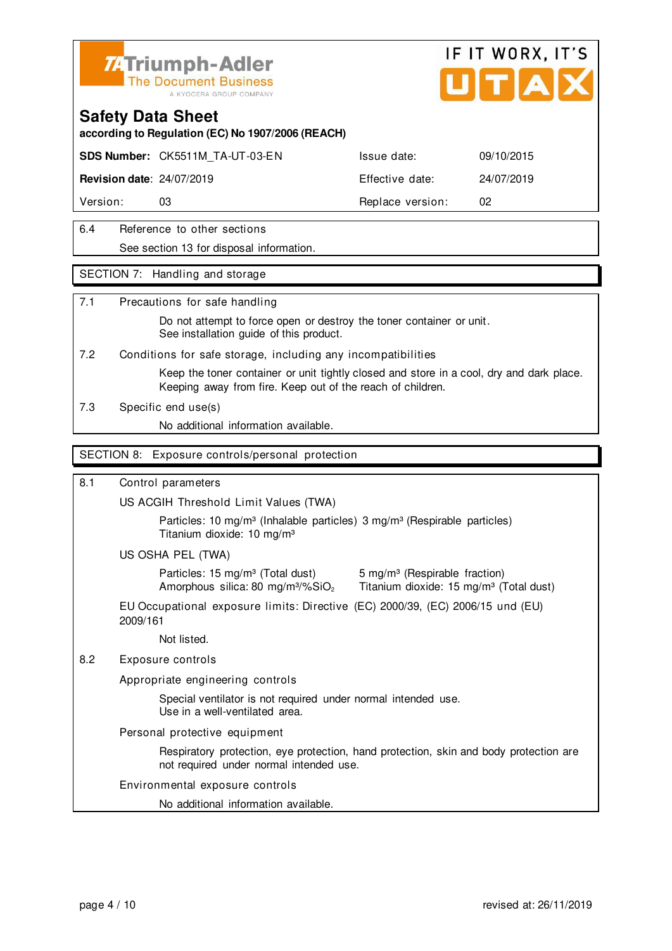

# IF IT WORX, IT'S

### **Safety Data Sheet**

**according to Regulation (EC) No 1907/2006 (REACH)**

**SDS Number:** CK5511M\_TA-UT-03-EN Issue date: 09/10/2015

**Revision date**: 24/07/2019 Effective date: 24/07/2019

Version: 03 03 Replace version: 02

### 6.4 Reference to other sections See section 13 for disposal information.

### SECTION 7: Handling and storage

### 7.1 Precautions for safe handling

 Do not attempt to force open or destroy the toner container or unit. See installation guide of this product.

7.2 Conditions for safe storage, including any incompatibilities

 Keep the toner container or unit tightly closed and store in a cool, dry and dark place. Keeping away from fire. Keep out of the reach of children.

7.3 Specific end use(s)

No additional information available.

### SECTION 8: Exposure controls/personal protection

### 8.1 Control parameters

US ACGIH Threshold Limit Values (TWA)

Particles: 10 mg/m<sup>3</sup> (Inhalable particles) 3 mg/m<sup>3</sup> (Respirable particles) Titanium dioxide: 10 mg/m³

### US OSHA PEL (TWA)

Particles: 15 mg/m<sup>3</sup> (Total dust) 5 mg/m<sup>3</sup> (Respirable fraction)

Amorphous silica: 80 mg/m $3\%$ SiO<sub>2</sub> Titanium dioxide: 15 mg/m $3$  (Total dust)

EU Occupational exposure limits: Directive (EC) 2000/39, (EC) 2006/15 und (EU) 2009/161

Not listed.

### 8.2 Exposure controls

Appropriate engineering controls

 Special ventilator is not required under normal intended use. Use in a well-ventilated area.

Personal protective equipment

 Respiratory protection, eye protection, hand protection, skin and body protection are not required under normal intended use.

### Environmental exposure controls

No additional information available.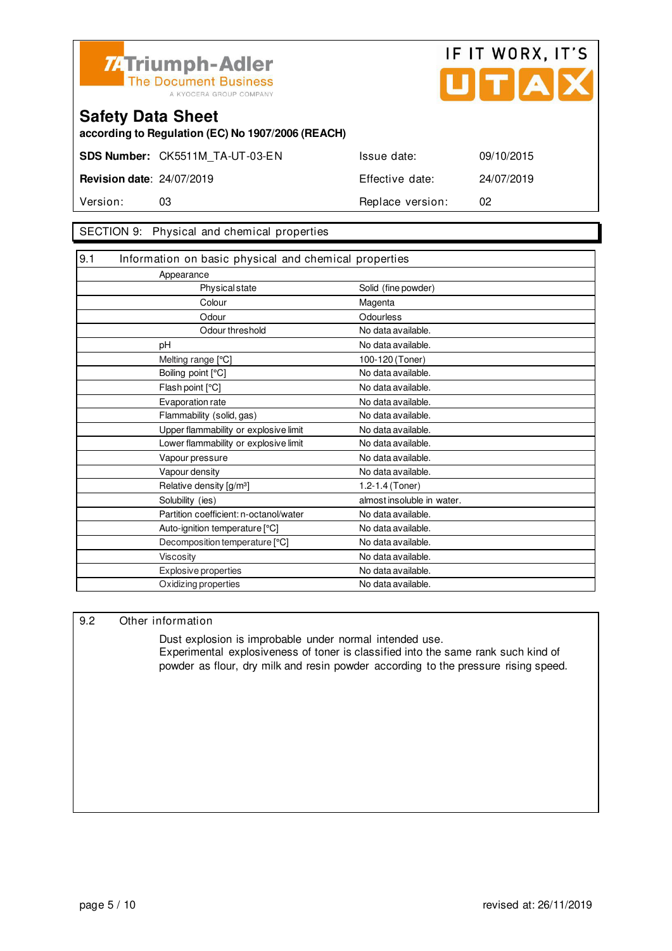



**according to Regulation (EC) No 1907/2006 (REACH)**

**SDS Number:** CK5511M\_TA-UT-03-EN Issue date: 09/10/2015

**Revision date**: 24/07/2019 Effective date: 24/07/2019 Version: 03 **Replace version:** 02

### SECTION 9: Physical and chemical properties

| 9.1<br>Information on basic physical and chemical properties |                            |
|--------------------------------------------------------------|----------------------------|
| Appearance                                                   |                            |
| <b>Physical state</b>                                        | Solid (fine powder)        |
| Colour                                                       | Magenta                    |
| Odour                                                        | Odourless                  |
| Odour threshold                                              | No data available.         |
| pH                                                           | No data available.         |
| Melting range [°C]                                           | 100-120 (Toner)            |
| Boiling point [°C]                                           | No data available.         |
| Flash point [°C]                                             | No data available.         |
| Evaporation rate                                             | No data available.         |
| Flammability (solid, gas)                                    | No data available.         |
| Upper flammability or explosive limit                        | No data available.         |
| Lower flammability or explosive limit                        | No data available.         |
| Vapour pressure                                              | No data available.         |
| Vapour density                                               | No data available.         |
| Relative density [g/m <sup>3</sup> ]                         | 1.2-1.4 (Toner)            |
| Solubility (ies)                                             | almost insoluble in water. |
| Partition coefficient: n-octanol/water                       | No data available.         |
| Auto-ignition temperature [°C]                               | No data available.         |
| Decomposition temperature [°C]                               | No data available.         |
| <b>Viscosity</b>                                             | No data available.         |
| Explosive properties                                         | No data available.         |
| Oxidizing properties                                         | No data available.         |

### 9.2 Other information

 Dust explosion is improbable under normal intended use. Experimental explosiveness of toner is classified into the same rank such kind of powder as flour, dry milk and resin powder according to the pressure rising speed.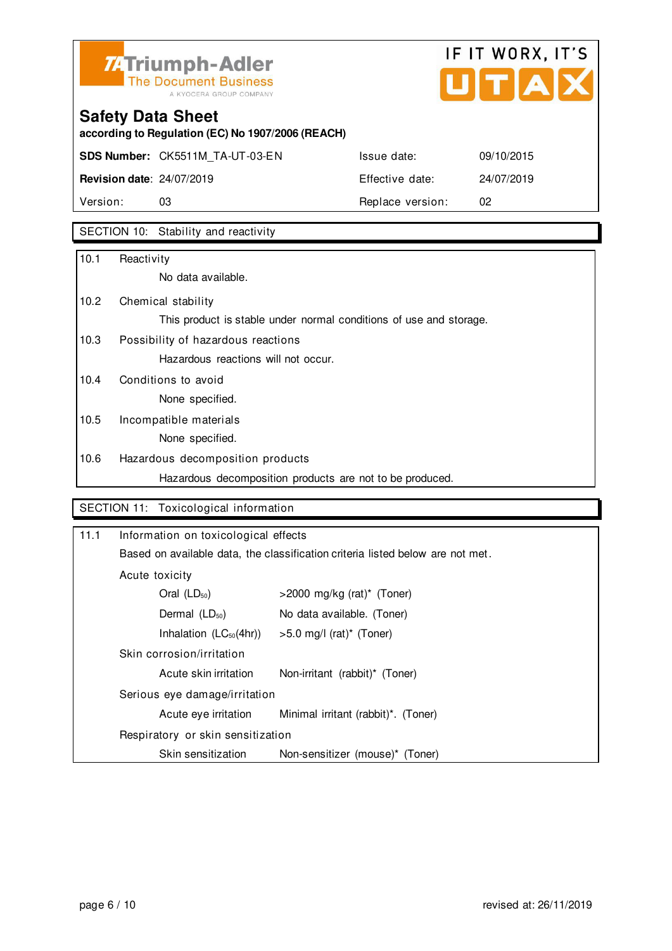

## IF IT WORX, IT'S Ů TA

## **Safety Data Sheet**

**according to Regulation (EC) No 1907/2006 (REACH)**

**SDS Number:** CK5511M\_TA-UT-03-EN Issue date: 09/10/2015

**Revision date**: 24/07/2019 Effective date: 24/07/2019 Version: 03 03 Replace version: 02

### SECTION 10: Stability and reactivity

| 10.1 | Reactivity                                                         |
|------|--------------------------------------------------------------------|
|      | No data available.                                                 |
| 10.2 | Chemical stability                                                 |
|      | This product is stable under normal conditions of use and storage. |
| 10.3 | Possibility of hazardous reactions                                 |
|      | Hazardous reactions will not occur.                                |
| 10.4 | Conditions to avoid                                                |
|      | None specified.                                                    |
| 10.5 | Incompatible materials                                             |
|      | None specified.                                                    |
| 10.6 | Hazardous decomposition products                                   |
|      | Hazardous decomposition products are not to be produced.           |

### SECTION 11: Toxicological information

| 11.1                              | Information on toxicological effects                                           |                                        |  |
|-----------------------------------|--------------------------------------------------------------------------------|----------------------------------------|--|
|                                   | Based on available data, the classification criteria listed below are not met. |                                        |  |
|                                   | Acute toxicity                                                                 |                                        |  |
|                                   | Oral $(LD_{50})$                                                               | $>$ 2000 mg/kg (rat)* (Toner)          |  |
| Dermal $(LD_{50})$                |                                                                                | No data available. (Toner)             |  |
|                                   | Inhalation $(LC_{50}(4hr))$                                                    | $>5.0$ mg/l (rat) <sup>*</sup> (Toner) |  |
|                                   | Skin corrosion/irritation                                                      |                                        |  |
|                                   | Acute skin irritation                                                          | Non-irritant (rabbit)* (Toner)         |  |
|                                   | Serious eye damage/irritation                                                  |                                        |  |
|                                   | Acute eye irritation                                                           | Minimal irritant (rabbit)*. (Toner)    |  |
| Respiratory or skin sensitization |                                                                                |                                        |  |
|                                   | Skin sensitization                                                             | Non-sensitizer (mouse)* (Toner)        |  |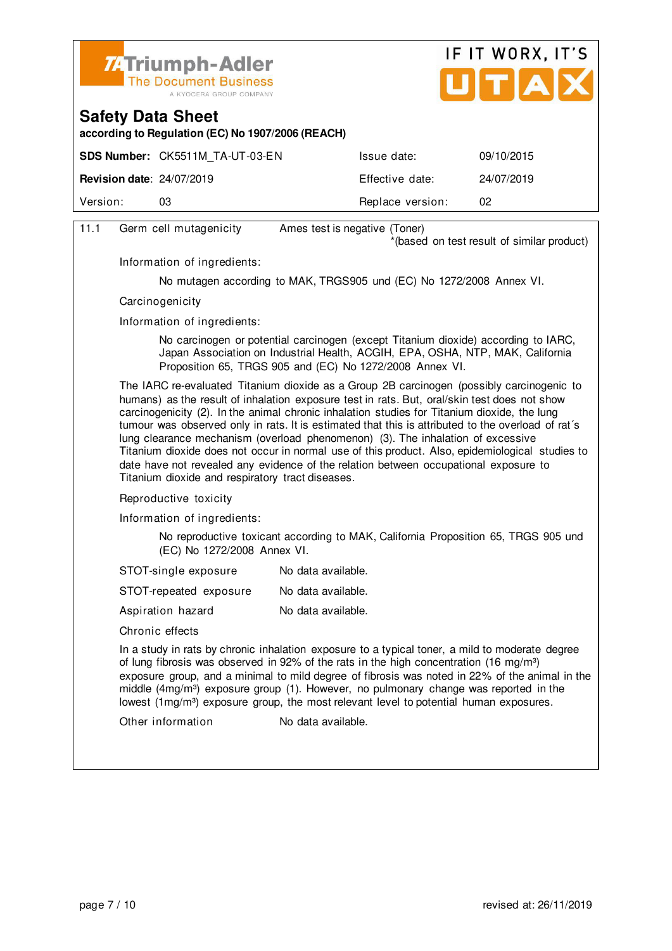



**according to Regulation (EC) No 1907/2006 (REACH)**

|                                  | <b>SDS Number: CK5511M TA-UT-03-EN</b> | Issue date:      | 09/10/2015 |
|----------------------------------|----------------------------------------|------------------|------------|
| <b>Revision date: 24/07/2019</b> |                                        | Effective date:  | 24/07/2019 |
| Version:                         | 03                                     | Replace version: | 02         |
|                                  |                                        |                  |            |

| 11.1 | Germ cell mutagenicity                                                                                                                                                                                                                                                                                                                                                                                                                                                                                                                                                                                                                                                                                                            | Ames test is negative (Toner)                                                                                                                                                                                                    |  |  |  |
|------|-----------------------------------------------------------------------------------------------------------------------------------------------------------------------------------------------------------------------------------------------------------------------------------------------------------------------------------------------------------------------------------------------------------------------------------------------------------------------------------------------------------------------------------------------------------------------------------------------------------------------------------------------------------------------------------------------------------------------------------|----------------------------------------------------------------------------------------------------------------------------------------------------------------------------------------------------------------------------------|--|--|--|
|      |                                                                                                                                                                                                                                                                                                                                                                                                                                                                                                                                                                                                                                                                                                                                   | *(based on test result of similar product)                                                                                                                                                                                       |  |  |  |
|      | Information of ingredients:                                                                                                                                                                                                                                                                                                                                                                                                                                                                                                                                                                                                                                                                                                       |                                                                                                                                                                                                                                  |  |  |  |
|      |                                                                                                                                                                                                                                                                                                                                                                                                                                                                                                                                                                                                                                                                                                                                   | No mutagen according to MAK, TRGS905 und (EC) No 1272/2008 Annex VI.                                                                                                                                                             |  |  |  |
|      | Carcinogenicity                                                                                                                                                                                                                                                                                                                                                                                                                                                                                                                                                                                                                                                                                                                   |                                                                                                                                                                                                                                  |  |  |  |
|      | Information of ingredients:                                                                                                                                                                                                                                                                                                                                                                                                                                                                                                                                                                                                                                                                                                       |                                                                                                                                                                                                                                  |  |  |  |
|      |                                                                                                                                                                                                                                                                                                                                                                                                                                                                                                                                                                                                                                                                                                                                   | No carcinogen or potential carcinogen (except Titanium dioxide) according to IARC,<br>Japan Association on Industrial Health, ACGIH, EPA, OSHA, NTP, MAK, California<br>Proposition 65, TRGS 905 and (EC) No 1272/2008 Annex VI. |  |  |  |
|      | The IARC re-evaluated Titanium dioxide as a Group 2B carcinogen (possibly carcinogenic to<br>humans) as the result of inhalation exposure test in rats. But, oral/skin test does not show<br>carcinogenicity (2). In the animal chronic inhalation studies for Titanium dioxide, the lung<br>tumour was observed only in rats. It is estimated that this is attributed to the overload of rat's<br>lung clearance mechanism (overload phenomenon) (3). The inhalation of excessive<br>Titanium dioxide does not occur in normal use of this product. Also, epidemiological studies to<br>date have not revealed any evidence of the relation between occupational exposure to<br>Titanium dioxide and respiratory tract diseases. |                                                                                                                                                                                                                                  |  |  |  |
|      | Reproductive toxicity                                                                                                                                                                                                                                                                                                                                                                                                                                                                                                                                                                                                                                                                                                             |                                                                                                                                                                                                                                  |  |  |  |
|      | Information of ingredients:                                                                                                                                                                                                                                                                                                                                                                                                                                                                                                                                                                                                                                                                                                       |                                                                                                                                                                                                                                  |  |  |  |
|      | (EC) No 1272/2008 Annex VI.                                                                                                                                                                                                                                                                                                                                                                                                                                                                                                                                                                                                                                                                                                       | No reproductive toxicant according to MAK, California Proposition 65, TRGS 905 und                                                                                                                                               |  |  |  |
|      | STOT-single exposure                                                                                                                                                                                                                                                                                                                                                                                                                                                                                                                                                                                                                                                                                                              | No data available.                                                                                                                                                                                                               |  |  |  |
|      | STOT-repeated exposure                                                                                                                                                                                                                                                                                                                                                                                                                                                                                                                                                                                                                                                                                                            | No data available.                                                                                                                                                                                                               |  |  |  |
|      | Aspiration hazard                                                                                                                                                                                                                                                                                                                                                                                                                                                                                                                                                                                                                                                                                                                 | No data available.                                                                                                                                                                                                               |  |  |  |
|      | Chronic effects                                                                                                                                                                                                                                                                                                                                                                                                                                                                                                                                                                                                                                                                                                                   |                                                                                                                                                                                                                                  |  |  |  |
|      | In a study in rats by chronic inhalation exposure to a typical toner, a mild to moderate degree<br>of lung fibrosis was observed in 92% of the rats in the high concentration (16 mg/m <sup>3</sup> )<br>exposure group, and a minimal to mild degree of fibrosis was noted in 22% of the animal in the<br>middle $(4mg/m3)$ exposure group (1). However, no pulmonary change was reported in the<br>lowest (1mg/m <sup>3</sup> ) exposure group, the most relevant level to potential human exposures.                                                                                                                                                                                                                           |                                                                                                                                                                                                                                  |  |  |  |
|      | Other information                                                                                                                                                                                                                                                                                                                                                                                                                                                                                                                                                                                                                                                                                                                 | No data available.                                                                                                                                                                                                               |  |  |  |
|      |                                                                                                                                                                                                                                                                                                                                                                                                                                                                                                                                                                                                                                                                                                                                   |                                                                                                                                                                                                                                  |  |  |  |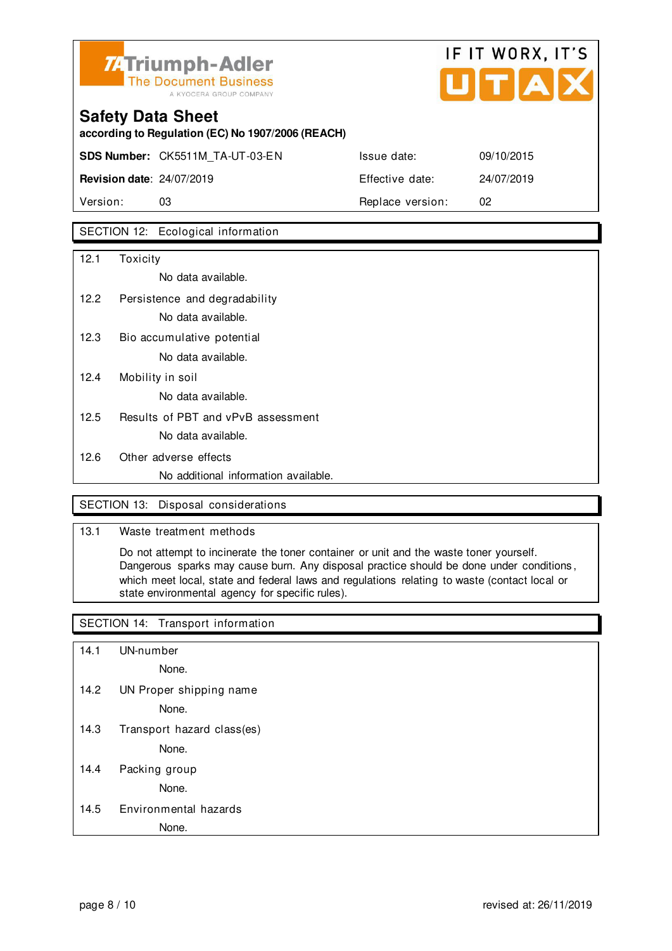

## IF IT WORX, IT'S  $LITIAIX$

## **Safety Data Sheet according to Regulation (EC) No 1907/2006 (REACH) SDS Number:** CK5511M\_TA-UT-03-EN **Revision date: 24/07/2019**

|                                  | <b>SDS Number:</b> CK5511M TA-UT-03-EN | Issue date:      | 09/10/2015 |
|----------------------------------|----------------------------------------|------------------|------------|
| <b>Revision date: 24/07/2019</b> |                                        | Effective date:  | 24/07/2019 |
| Version:                         | 03                                     | Replace version: | 02         |

### SECTION 12: Ecological information

| 12.1 | Toxicity                             |
|------|--------------------------------------|
|      | No data available.                   |
| 12.2 | Persistence and degradability        |
|      | No data available.                   |
| 12.3 | Bio accumulative potential           |
|      | No data available.                   |
| 12.4 | Mobility in soil                     |
|      | No data available.                   |
| 12.5 | Results of PBT and vPvB assessment   |
|      | No data available.                   |
| 12.6 | Other adverse effects                |
|      | No additional information available. |

### SECTION 13: Disposal considerations

### 13.1 Waste treatment methods

 Do not attempt to incinerate the toner container or unit and the waste toner yourself. Dangerous sparks may cause burn. Any disposal practice should be done under conditions , which meet local, state and federal laws and regulations relating to waste (contact local or state environmental agency for specific rules).

### SECTION 14: Transport information

14.1 UN-number

None.

14.2 UN Proper shipping name

None.

14.3 Transport hazard class(es)

None.

14.4 Packing group

None.

### 14.5 Environmental hazards

None.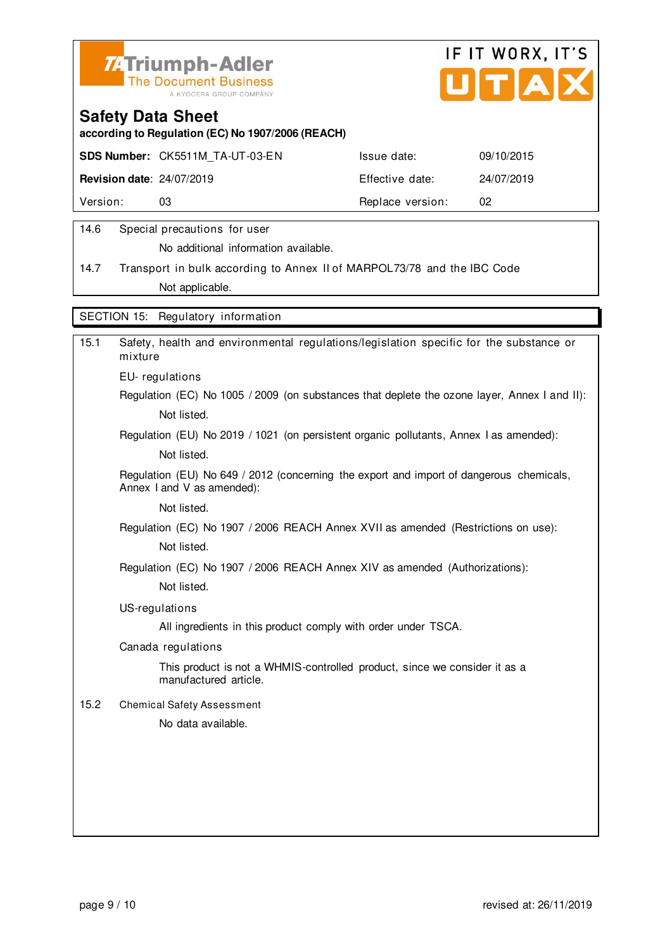



**according to Regulation (EC) No 1907/2006 (REACH)**

|                                  | <b>SDS Number: CK5511M TA-UT-03-EN</b> | Issue date:      | 09/10/2015 |
|----------------------------------|----------------------------------------|------------------|------------|
| <b>Revision date: 24/07/2019</b> |                                        | Effective date:  | 24/07/2019 |
| Version:                         | 03                                     | Replace version: | -02        |
|                                  |                                        |                  |            |

### 14.6 Special precautions for user

No additional information available.

14.7 Transport in bulk according to Annex II of MARPOL73/78 and the IBC Code Not applicable.

SECTION 15: Regulatory information

| 15.1 | Safety, health and environmental regulations/legislation specific for the substance or<br>mixture                     |
|------|-----------------------------------------------------------------------------------------------------------------------|
|      | EU-regulations                                                                                                        |
|      | Regulation (EC) No 1005 / 2009 (on substances that deplete the ozone layer, Annex I and II):                          |
|      | Not listed.                                                                                                           |
|      | Regulation (EU) No 2019 / 1021 (on persistent organic pollutants, Annex I as amended):                                |
|      | Not listed.                                                                                                           |
|      | Regulation (EU) No 649 / 2012 (concerning the export and import of dangerous chemicals,<br>Annex I and V as amended): |
|      | Not listed.                                                                                                           |
|      | Regulation (EC) No 1907 / 2006 REACH Annex XVII as amended (Restrictions on use):                                     |
|      | Not listed.                                                                                                           |
|      | Regulation (EC) No 1907 / 2006 REACH Annex XIV as amended (Authorizations):                                           |
|      | Not listed.                                                                                                           |
|      | US-regulations                                                                                                        |
|      | All ingredients in this product comply with order under TSCA.                                                         |
|      | Canada regulations                                                                                                    |
|      | This product is not a WHMIS-controlled product, since we consider it as a<br>manufactured article.                    |
| 15.2 | <b>Chemical Safety Assessment</b>                                                                                     |
|      | No data available.                                                                                                    |
|      |                                                                                                                       |
|      |                                                                                                                       |
|      |                                                                                                                       |
|      |                                                                                                                       |
|      |                                                                                                                       |
|      |                                                                                                                       |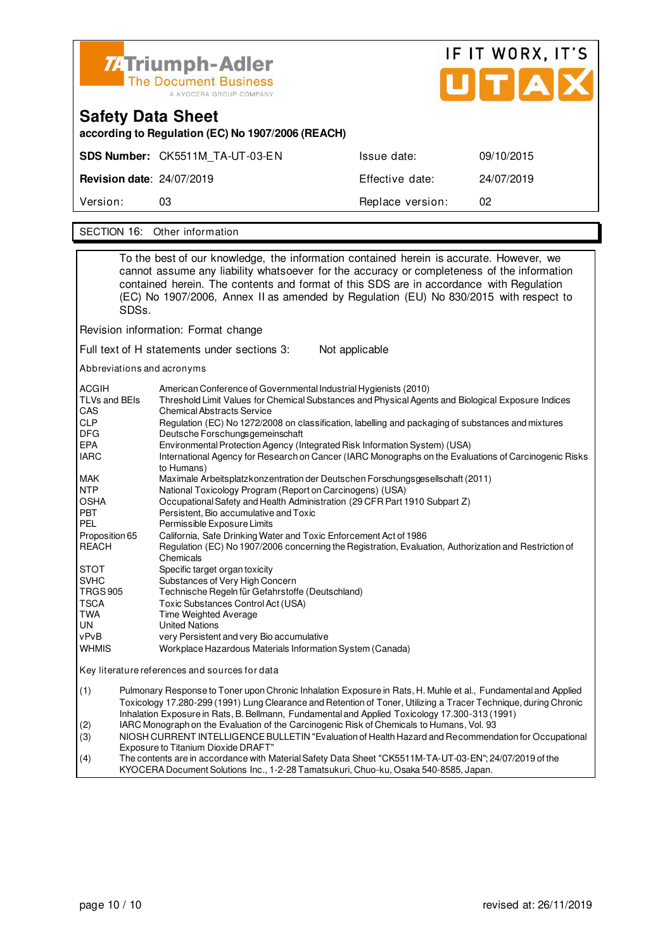

# IF IT WORX, IT'S

| <b>Safety Data Sheet</b><br>according to Regulation (EC) No 1907/2006 (REACH) |                                 |                  |            |  |  |  |
|-------------------------------------------------------------------------------|---------------------------------|------------------|------------|--|--|--|
|                                                                               | SDS Number: CK5511M TA-UT-03-EN | Issue date:      | 09/10/2015 |  |  |  |
| <b>Revision date: 24/07/2019</b>                                              |                                 | Effective date:  | 24/07/2019 |  |  |  |
| Version:                                                                      | 03                              | Replace version: | 02         |  |  |  |
|                                                                               |                                 |                  |            |  |  |  |
|                                                                               | SECTION 16: Other information   |                  |            |  |  |  |

To the best of our knowledge, the information contained herein is accurate. However, we cannot assume any liability whatsoever for the accuracy or completeness of the information contained herein. The contents and format of this SDS are in accordance with Regulation (EC) No 1907/2006, Annex II as amended by Regulation (EU) No 830/2015 with respect to SDSs. Revision information: Format change Full text of H statements under sections 3: Not applicable Abbreviations and acronyms ACGIH American Conference of Governmental Industrial Hygienists (2010)<br>TLVs and BEIs Threshold Limit Values for Chemical Substances and Physical Agen Threshold Limit Values for Chemical Substances and Physical Agents and Biological Exposure Indices CAS Chemical Abstracts Service<br>CLP Regulation (EC) No 1272/20 CLP Regulation (EC) No 1272/2008 on classification, labelling and packaging of substances and mixtures<br>DEG Deutsche Forschungsgemeinschaft DFG Deutsche Forschungsgemeinschaft<br>EPA Environmental Protection Agency (In EPA Environmental Protection Agency (Integrated Risk Information System) (USA) International Agency for Research on Cancer (IARC Monographs on the Evaluations of Carcinogenic Risks to Humans)<br>MAK Maximale A MAK Maximale Arbeitsplatzkonzentration der Deutschen Forschungsgesellschaft (2011) NTP National Toxicology Program (Report on Carcinogens) (USA) OSHA Occupational Safety and Health Administration (29 CFR Part 1910 Subpart Z) Persistent, Bio accumulative and Toxic PEL Permissible Exposure Limits Proposition 65 California, Safe Drinking Water and Toxic Enforcement Act of 1986 REACH Regulation (EC) No 1907/2006 concerning the Registration, Evaluation, Authorization and Restriction of Chemicals STOT Specific target organ toxicity<br>SVHC Substances of Very High Co Substances of Very High Concern TRGS 905 Technische Regeln für Gefahrstoffe (Deutschland) TSCA Toxic Substances Control Act (USA)<br>
TWA Time Weighted Average Time Weighted Average UN United Nations<br>
vPvB very Persistent very Persistent and very Bio accumulative WHMIS Workplace Hazardous Materials Information System (Canada) Key literature references and sources for data (1) Pulmonary Response to Toner upon Chronic Inhalation Exposure in Rats, H. Muhle et al., Fundamental and Applied Toxicology 17.280-299 (1991) Lung Clearance and Retention of Toner, Utilizing a Tracer Technique, during Chronic Inhalation Exposure in Rats, B. Bellmann, Fundamental and Applied Toxicology 17.300-313 (1991) (2) IARC Monograph on the Evaluation of the Carcinogenic Risk of Chemicals to Humans, Vol. 93 (3) NIOSH CURRENT INTELLIGENCE BULLETIN "Evaluation of Health Hazard and Recommendation for Occupational Exposure to Titanium Dioxide DRAFT<br>(4) The contents are in accordance with I

The contents are in accordance with Material Safety Data Sheet "CK5511M-TA-UT-03-EN"; 24/07/2019 of the KYOCERA Document Solutions Inc., 1-2-28 Tamatsukuri, Chuo-ku, Osaka 540-8585, Japan.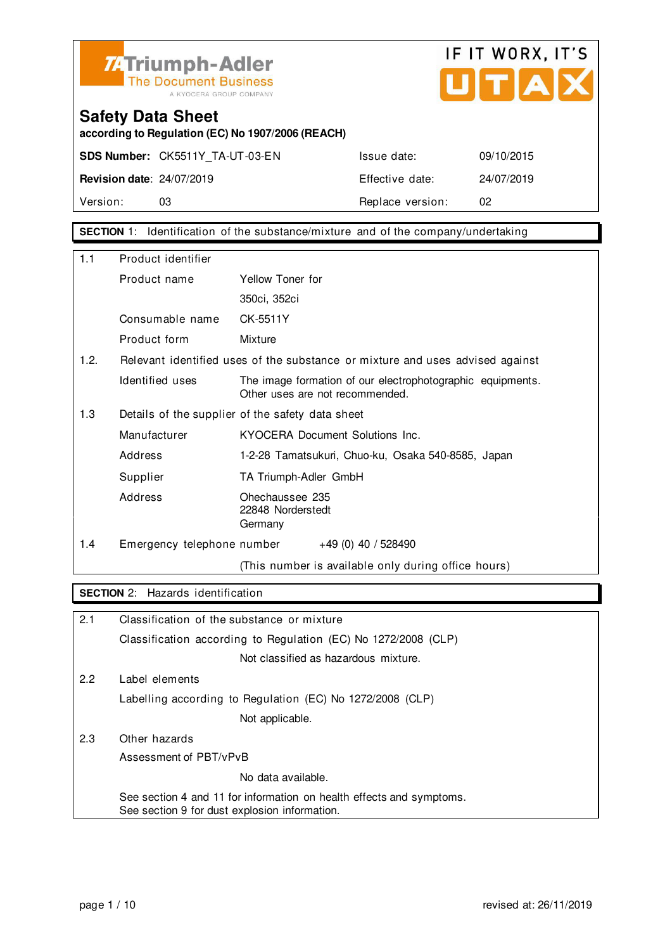



**according to Regulation (EC) No 1907/2006 (REACH)**

**SDS Number:** CK5511Y\_TA-UT-03-EN Issue date: 09/10/2015

**Revision date**: 24/07/2019 Effective date: 24/07/2019 Version: 03 03 Replace version: 02

**SECTION** 1: Identification of the substance/mixture and of the company/undertaking

| 1.1  | Product identifier                               |                                                                                               |  |  |
|------|--------------------------------------------------|-----------------------------------------------------------------------------------------------|--|--|
|      | Product name                                     | Yellow Toner for                                                                              |  |  |
|      |                                                  | 350ci, 352ci                                                                                  |  |  |
|      | Consumable name                                  | CK-5511Y                                                                                      |  |  |
|      | Product form                                     | Mixture                                                                                       |  |  |
| 1.2. |                                                  | Relevant identified uses of the substance or mixture and uses advised against                 |  |  |
|      | Identified uses                                  | The image formation of our electrophotographic equipments.<br>Other uses are not recommended. |  |  |
| 1.3  | Details of the supplier of the safety data sheet |                                                                                               |  |  |
|      | Manufacturer                                     | KYOCERA Document Solutions Inc.                                                               |  |  |
|      | Address                                          | 1-2-28 Tamatsukuri, Chuo-ku, Osaka 540-8585, Japan                                            |  |  |
|      | Supplier                                         | TA Triumph-Adler GmbH                                                                         |  |  |
|      | Address                                          | Ohechaussee 235<br>22848 Norderstedt<br>Germany                                               |  |  |
| 1.4  | Emergency telephone number                       | $+49(0)$ 40 / 528490                                                                          |  |  |
|      |                                                  | (This number is available only during office hours)                                           |  |  |

### **SECTION** 2: Hazards identification

| 2.1 | Classification of the substance or mixture                                                                            |
|-----|-----------------------------------------------------------------------------------------------------------------------|
|     | Classification according to Regulation (EC) No 1272/2008 (CLP)                                                        |
|     | Not classified as hazardous mixture.                                                                                  |
| 2.2 | Label elements                                                                                                        |
|     | Labelling according to Regulation (EC) No 1272/2008 (CLP)                                                             |
|     | Not applicable.                                                                                                       |
| 2.3 | Other hazards                                                                                                         |
|     | Assessment of PBT/vPvB                                                                                                |
|     | No data available.                                                                                                    |
|     | See section 4 and 11 for information on health effects and symptoms.<br>See section 9 for dust explosion information. |
|     |                                                                                                                       |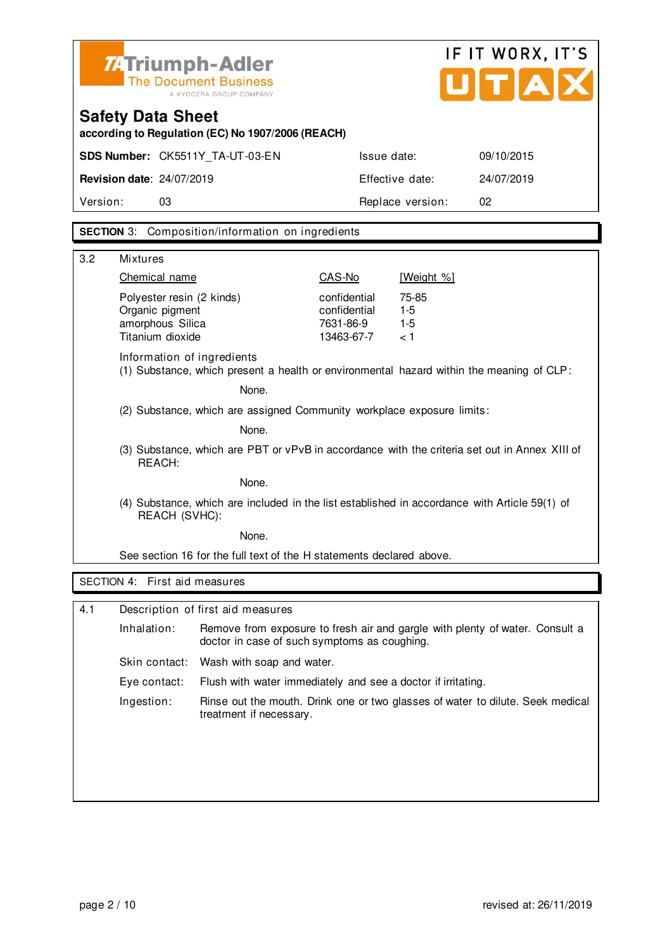| <b>74Triumph-Adler</b>       |  |
|------------------------------|--|
| <b>The Document Business</b> |  |
| A KYOCERA GROUP COMPANY      |  |



**according to Regulation (EC) No 1907/2006 (REACH)**

|                                  | <b>SDS Number: CK5511Y TA-UT-03-EN</b> | Issue date:      | 09/10/2015 |
|----------------------------------|----------------------------------------|------------------|------------|
| <b>Revision date: 24/07/2019</b> |                                        | Effective date:  | 24/07/2019 |
| Version:                         | 03                                     | Replace version: | 02         |

### **SECTION** 3: Composition/information on ingredients

| 3.2 | <b>Mixtures</b>                                                                                                |                                                                        |                                                         |                                                                                          |  |  |
|-----|----------------------------------------------------------------------------------------------------------------|------------------------------------------------------------------------|---------------------------------------------------------|------------------------------------------------------------------------------------------|--|--|
|     | Chemical name                                                                                                  |                                                                        | CAS-No                                                  | [Weight %]                                                                               |  |  |
|     | Polyester resin (2 kinds)<br>Organic pigment<br>amorphous Silica<br>Titanium dioxide                           |                                                                        | confidential<br>confidential<br>7631-86-9<br>13463-67-7 | 75-85<br>$1-5$<br>$1 - 5$<br>< 1                                                         |  |  |
|     | Information of ingredients                                                                                     |                                                                        |                                                         | (1) Substance, which present a health or environmental hazard within the meaning of CLP: |  |  |
|     |                                                                                                                | None.                                                                  |                                                         |                                                                                          |  |  |
|     |                                                                                                                | (2) Substance, which are assigned Community workplace exposure limits: |                                                         |                                                                                          |  |  |
|     |                                                                                                                | None.                                                                  |                                                         |                                                                                          |  |  |
|     | (3) Substance, which are PBT or vPvB in accordance with the criteria set out in Annex XIII of<br>REACH:        |                                                                        |                                                         |                                                                                          |  |  |
|     | None.                                                                                                          |                                                                        |                                                         |                                                                                          |  |  |
|     | (4) Substance, which are included in the list established in accordance with Article 59(1) of<br>REACH (SVHC): |                                                                        |                                                         |                                                                                          |  |  |
|     | None.                                                                                                          |                                                                        |                                                         |                                                                                          |  |  |
|     | See section 16 for the full text of the H statements declared above.                                           |                                                                        |                                                         |                                                                                          |  |  |
|     | SECTION 4: First aid measures                                                                                  |                                                                        |                                                         |                                                                                          |  |  |
|     |                                                                                                                |                                                                        |                                                         |                                                                                          |  |  |
| 4.1 |                                                                                                                | Description of first aid measures                                      |                                                         |                                                                                          |  |  |
|     | Inhalation:                                                                                                    | doctor in case of such symptoms as coughing.                           |                                                         | Remove from exposure to fresh air and gargle with plenty of water. Consult a             |  |  |
|     | Skin contact:                                                                                                  | Wash with soap and water.                                              |                                                         |                                                                                          |  |  |
|     | Eye contact:                                                                                                   | Flush with water immediately and see a doctor if irritating.           |                                                         |                                                                                          |  |  |
|     | Ingestion:                                                                                                     | treatment if necessary.                                                |                                                         | Rinse out the mouth. Drink one or two glasses of water to dilute. Seek medical           |  |  |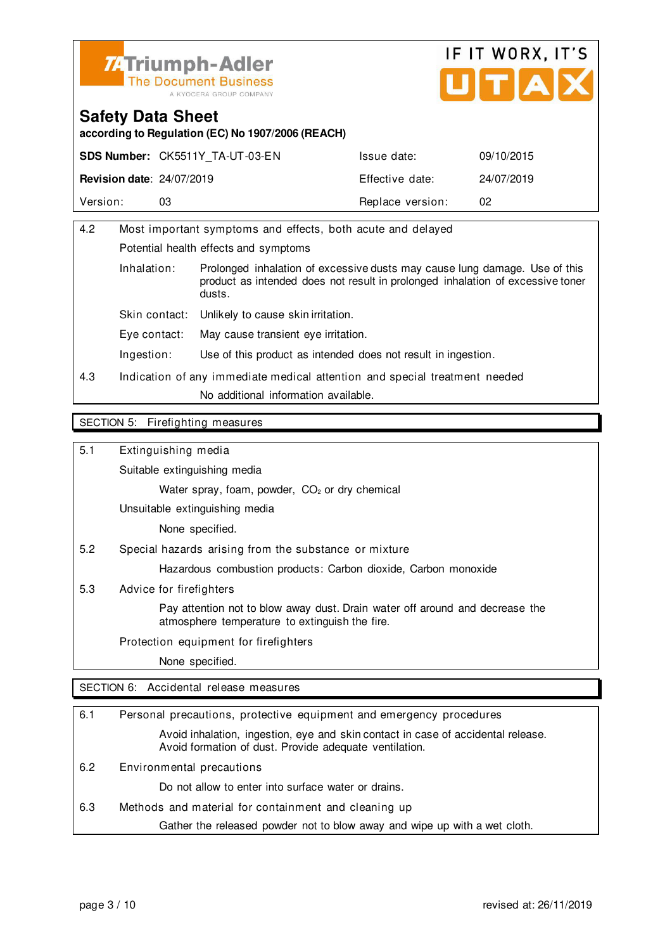



**according to Regulation (EC) No 1907/2006 (REACH)**

|                                  | <b>SDS Number: CK5511Y TA-UT-03-EN</b> | Issue date:      | 09/10/2015 |
|----------------------------------|----------------------------------------|------------------|------------|
| <b>Revision date: 24/07/2019</b> |                                        | Effective date:  | 24/07/2019 |
| Version:                         | 03                                     | Replace version: | 02         |

| 4.2                                  |                                                                            | Most important symptoms and effects, both acute and delayed                                                                                                            |  |  |
|--------------------------------------|----------------------------------------------------------------------------|------------------------------------------------------------------------------------------------------------------------------------------------------------------------|--|--|
|                                      | Potential health effects and symptoms                                      |                                                                                                                                                                        |  |  |
|                                      | Inhalation:                                                                | Prolonged inhalation of excessive dusts may cause lung damage. Use of this<br>product as intended does not result in prolonged inhalation of excessive toner<br>dusts. |  |  |
|                                      | Skin contact:                                                              | Unlikely to cause skin irritation.                                                                                                                                     |  |  |
| Eve contact:                         |                                                                            | May cause transient eye irritation.                                                                                                                                    |  |  |
|                                      | Ingestion:                                                                 | Use of this product as intended does not result in ingestion.                                                                                                          |  |  |
| 4.3                                  | Indication of any immediate medical attention and special treatment needed |                                                                                                                                                                        |  |  |
| No additional information available. |                                                                            |                                                                                                                                                                        |  |  |
|                                      |                                                                            |                                                                                                                                                                        |  |  |

#### SECTION 5: Firefighting measures

5.1 Extinguishing media

Suitable extinguishing media

Water spray, foam, powder, CO<sub>2</sub> or dry chemical

Unsuitable extinguishing media

None specified.

5.2 Special hazards arising from the substance or mixture

Hazardous combustion products: Carbon dioxide, Carbon monoxide

5.3 Advice for firefighters

 Pay attention not to blow away dust. Drain water off around and decrease the atmosphere temperature to extinguish the fire.

Protection equipment for firefighters

None specified.

SECTION 6: Accidental release measures

| 6.1 | Personal precautions, protective equipment and emergency procedures                                                                        |  |
|-----|--------------------------------------------------------------------------------------------------------------------------------------------|--|
|     | Avoid inhalation, ingestion, eye and skin contact in case of accidental release.<br>Avoid formation of dust. Provide adequate ventilation. |  |
| 6.2 | Environmental precautions                                                                                                                  |  |
|     | Do not allow to enter into surface water or drains.                                                                                        |  |
| 6.3 | Methods and material for containment and cleaning up                                                                                       |  |
|     | Gather the released powder not to blow away and wipe up with a wet cloth.                                                                  |  |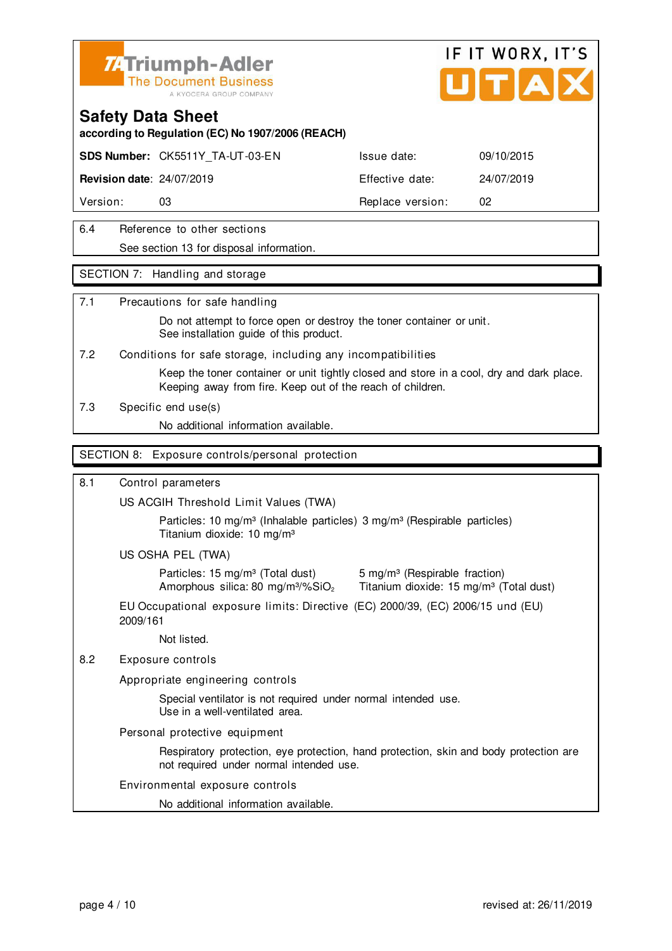

# IF IT WORX, IT'S

### **Safety Data Sheet**

**according to Regulation (EC) No 1907/2006 (REACH)**

**SDS Number:** CK5511Y\_TA-UT-03-EN Issue date: 09/10/2015

**Revision date**: 24/07/2019 Effective date: 24/07/2019

Version: 03 03 Replace version: 02

6.4 Reference to other sections See section 13 for disposal information.

### SECTION 7: Handling and storage

### 7.1 Precautions for safe handling

 Do not attempt to force open or destroy the toner container or unit. See installation guide of this product.

7.2 Conditions for safe storage, including any incompatibilities

 Keep the toner container or unit tightly closed and store in a cool, dry and dark place. Keeping away from fire. Keep out of the reach of children.

7.3 Specific end use(s)

No additional information available.

### SECTION 8: Exposure controls/personal protection

### 8.1 Control parameters

US ACGIH Threshold Limit Values (TWA)

Particles: 10 mg/m<sup>3</sup> (Inhalable particles) 3 mg/m<sup>3</sup> (Respirable particles) Titanium dioxide: 10 mg/m³

US OSHA PEL (TWA)

Particles: 15 mg/m<sup>3</sup> (Total dust) 5 mg/m<sup>3</sup> (Respirable fraction)

Amorphous silica: 80 mg/m $3\%$ SiO<sub>2</sub> Titanium dioxide: 15 mg/m $3$  (Total dust)

EU Occupational exposure limits: Directive (EC) 2000/39, (EC) 2006/15 und (EU) 2009/161

Not listed.

### 8.2 Exposure controls

Appropriate engineering controls

 Special ventilator is not required under normal intended use. Use in a well-ventilated area.

Personal protective equipment

 Respiratory protection, eye protection, hand protection, skin and body protection are not required under normal intended use.

### Environmental exposure controls

No additional information available.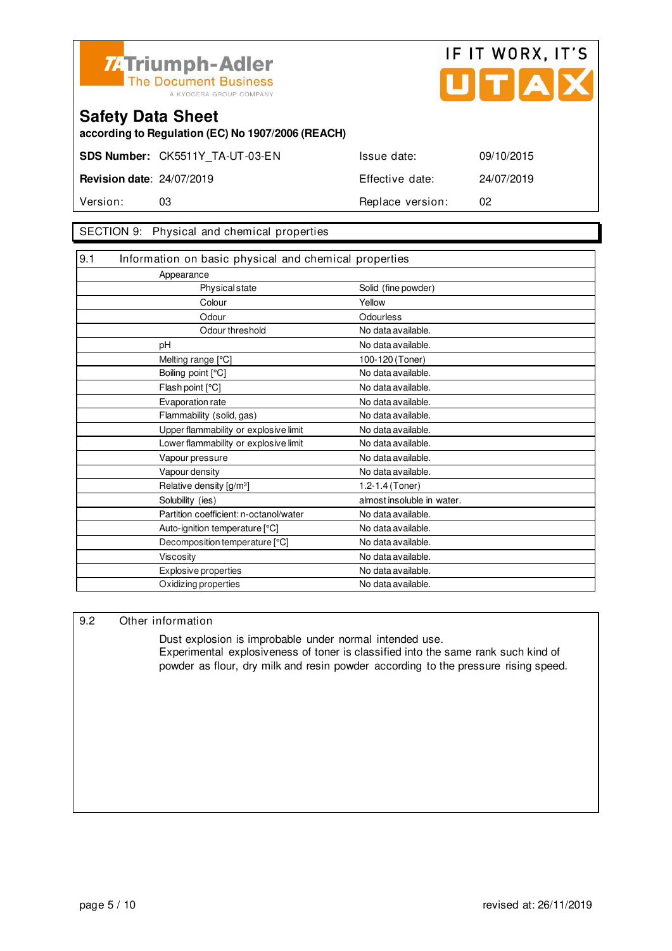



**according to Regulation (EC) No 1907/2006 (REACH)**

**SDS Number:** CK5511Y\_TA-UT-03-EN Issue date: 09/10/2015 **Revision date**: 24/07/2019 **Effective date:** 24/07/2019

Version: 03 **Replace version:** 02

SECTION 9: Physical and chemical properties

| 9.1<br>Information on basic physical and chemical properties |                            |
|--------------------------------------------------------------|----------------------------|
| Appearance                                                   |                            |
| <b>Physical state</b>                                        | Solid (fine powder)        |
| Colour                                                       | Yellow                     |
| Odour                                                        | Odourless                  |
| Odour threshold                                              | No data available.         |
| pH                                                           | No data available.         |
| Melting range [°C]                                           | 100-120 (Toner)            |
| Boiling point [°C]                                           | No data available.         |
| Flash point [°C]                                             | No data available.         |
| Evaporation rate                                             | No data available.         |
| Flammability (solid, gas)                                    | No data available.         |
| Upper flammability or explosive limit                        | No data available.         |
| Lower flammability or explosive limit                        | No data available.         |
| Vapour pressure                                              | No data available.         |
| Vapour density                                               | No data available.         |
| Relative density [g/m <sup>3</sup> ]                         | 1.2-1.4 (Toner)            |
| Solubility (ies)                                             | almost insoluble in water. |
| Partition coefficient: n-octanol/water                       | No data available.         |
| Auto-ignition temperature [°C]                               | No data available.         |
| Decomposition temperature [°C]                               | No data available.         |
| Viscosity                                                    | No data available.         |
| Explosive properties                                         | No data available.         |
| Oxidizing properties                                         | No data available.         |

### 9.2 Other information

 Dust explosion is improbable under normal intended use. Experimental explosiveness of toner is classified into the same rank such kind of powder as flour, dry milk and resin powder according to the pressure rising speed.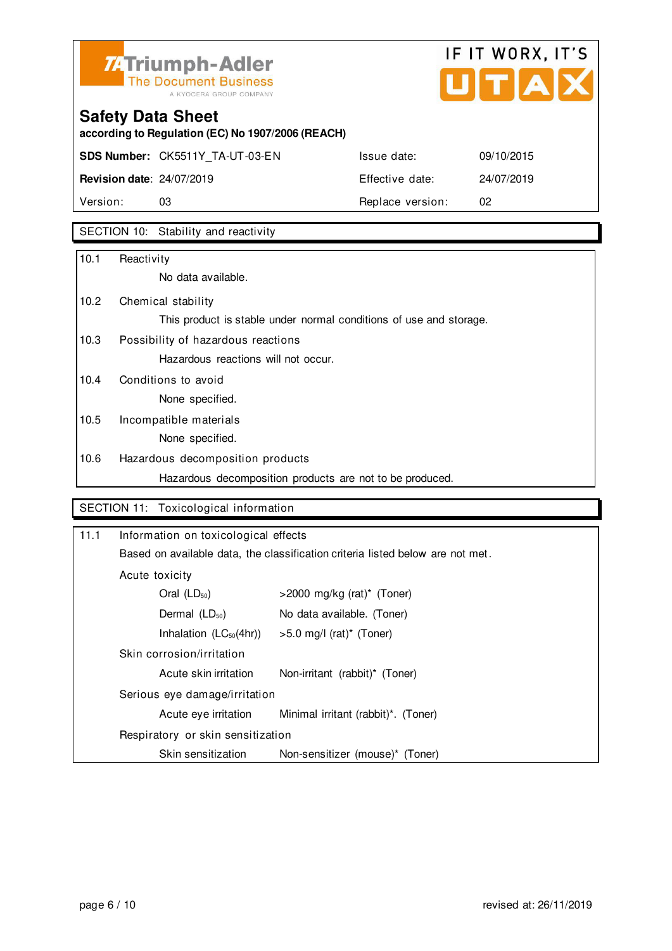

## IF IT WORX, IT'S Ů TA

## **Safety Data Sheet**

**according to Regulation (EC) No 1907/2006 (REACH)**

**SDS Number:** CK5511Y\_TA-UT-03-EN Issue date: 09/10/2015

**Revision date**: 24/07/2019 Effective date: 24/07/2019 Version: 03 03 Replace version: 02

### SECTION 10: Stability and reactivity

| 10.1              | Reactivity                                                         |
|-------------------|--------------------------------------------------------------------|
|                   | No data available.                                                 |
| 10.2 <sub>2</sub> | Chemical stability                                                 |
|                   | This product is stable under normal conditions of use and storage. |
| 10.3              | Possibility of hazardous reactions                                 |
|                   | Hazardous reactions will not occur.                                |
| 10.4              | Conditions to avoid                                                |
|                   | None specified.                                                    |
| 10.5              | Incompatible materials                                             |
|                   | None specified.                                                    |
| 10.6              | Hazardous decomposition products                                   |
|                   | Hazardous decomposition products are not to be produced.           |

### SECTION 11: Toxicological information

| 11.1 | Information on toxicological effects                                           |                                        |  |
|------|--------------------------------------------------------------------------------|----------------------------------------|--|
|      | Based on available data, the classification criteria listed below are not met. |                                        |  |
|      | Acute toxicity                                                                 |                                        |  |
|      | Oral $(LD_{50})$                                                               | $>$ 2000 mg/kg (rat)* (Toner)          |  |
|      | Dermal $(LD_{50})$                                                             | No data available. (Toner)             |  |
|      | Inhalation $(LC_{50}(4hr))$                                                    | $>5.0$ mg/l (rat) <sup>*</sup> (Toner) |  |
|      | Skin corrosion/irritation                                                      |                                        |  |
|      | Acute skin irritation                                                          | Non-irritant (rabbit)* (Toner)         |  |
|      | Serious eye damage/irritation                                                  |                                        |  |
|      | Acute eye irritation                                                           | Minimal irritant (rabbit)*. (Toner)    |  |
|      | Respiratory or skin sensitization                                              |                                        |  |
|      | Skin sensitization                                                             | Non-sensitizer (mouse)* (Toner)        |  |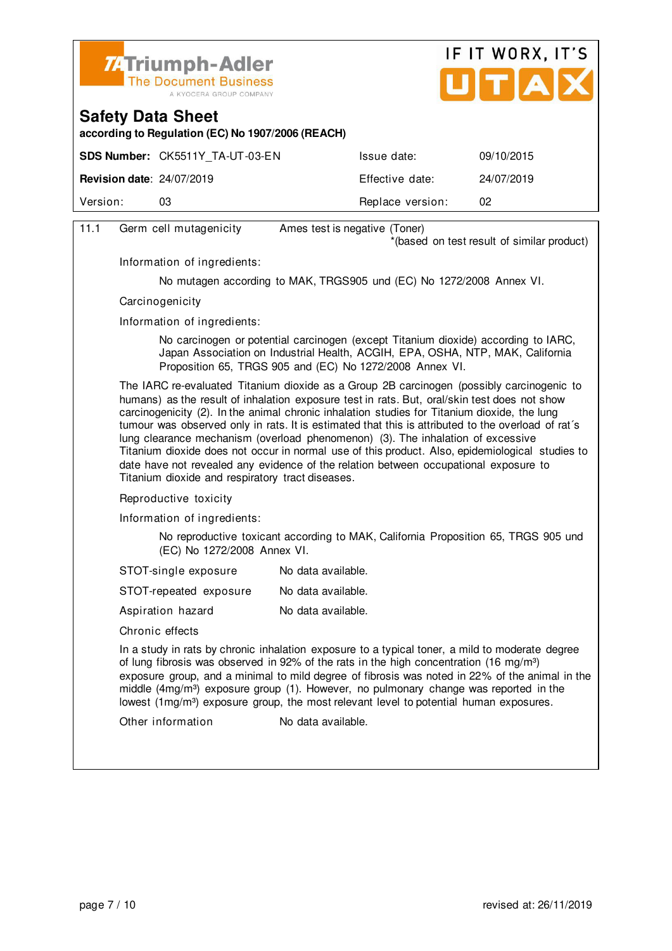



**according to Regulation (EC) No 1907/2006 (REACH)**

|                                  | <b>SDS Number: CK5511Y TA-UT-03-EN</b> | Issue date:      | 09/10/2015 |
|----------------------------------|----------------------------------------|------------------|------------|
| <b>Revision date: 24/07/2019</b> |                                        | Effective date:  | 24/07/2019 |
| Version:                         | 03                                     | Replace version: | 02         |
|                                  |                                        |                  |            |

| 11.1 | Germ cell mutagenicity                                                                                                                                                                                                                                                                                                                                                                                                                                                                                                                                                                                                                                                                                                            | Ames test is negative (Toner)                                        |  |  |
|------|-----------------------------------------------------------------------------------------------------------------------------------------------------------------------------------------------------------------------------------------------------------------------------------------------------------------------------------------------------------------------------------------------------------------------------------------------------------------------------------------------------------------------------------------------------------------------------------------------------------------------------------------------------------------------------------------------------------------------------------|----------------------------------------------------------------------|--|--|
|      |                                                                                                                                                                                                                                                                                                                                                                                                                                                                                                                                                                                                                                                                                                                                   | *(based on test result of similar product)                           |  |  |
|      | Information of ingredients:                                                                                                                                                                                                                                                                                                                                                                                                                                                                                                                                                                                                                                                                                                       |                                                                      |  |  |
|      |                                                                                                                                                                                                                                                                                                                                                                                                                                                                                                                                                                                                                                                                                                                                   | No mutagen according to MAK, TRGS905 und (EC) No 1272/2008 Annex VI. |  |  |
|      | Carcinogenicity                                                                                                                                                                                                                                                                                                                                                                                                                                                                                                                                                                                                                                                                                                                   |                                                                      |  |  |
|      | Information of ingredients:                                                                                                                                                                                                                                                                                                                                                                                                                                                                                                                                                                                                                                                                                                       |                                                                      |  |  |
|      | No carcinogen or potential carcinogen (except Titanium dioxide) according to IARC,<br>Japan Association on Industrial Health, ACGIH, EPA, OSHA, NTP, MAK, California<br>Proposition 65, TRGS 905 and (EC) No 1272/2008 Annex VI.                                                                                                                                                                                                                                                                                                                                                                                                                                                                                                  |                                                                      |  |  |
|      | The IARC re-evaluated Titanium dioxide as a Group 2B carcinogen (possibly carcinogenic to<br>humans) as the result of inhalation exposure test in rats. But, oral/skin test does not show<br>carcinogenicity (2). In the animal chronic inhalation studies for Titanium dioxide, the lung<br>tumour was observed only in rats. It is estimated that this is attributed to the overload of rat's<br>lung clearance mechanism (overload phenomenon) (3). The inhalation of excessive<br>Titanium dioxide does not occur in normal use of this product. Also, epidemiological studies to<br>date have not revealed any evidence of the relation between occupational exposure to<br>Titanium dioxide and respiratory tract diseases. |                                                                      |  |  |
|      | Reproductive toxicity                                                                                                                                                                                                                                                                                                                                                                                                                                                                                                                                                                                                                                                                                                             |                                                                      |  |  |
|      | Information of ingredients:                                                                                                                                                                                                                                                                                                                                                                                                                                                                                                                                                                                                                                                                                                       |                                                                      |  |  |
|      | No reproductive toxicant according to MAK, California Proposition 65, TRGS 905 und<br>(EC) No 1272/2008 Annex VI.                                                                                                                                                                                                                                                                                                                                                                                                                                                                                                                                                                                                                 |                                                                      |  |  |
|      | STOT-single exposure                                                                                                                                                                                                                                                                                                                                                                                                                                                                                                                                                                                                                                                                                                              | No data available.                                                   |  |  |
|      | STOT-repeated exposure                                                                                                                                                                                                                                                                                                                                                                                                                                                                                                                                                                                                                                                                                                            | No data available.                                                   |  |  |
|      | Aspiration hazard                                                                                                                                                                                                                                                                                                                                                                                                                                                                                                                                                                                                                                                                                                                 | No data available.                                                   |  |  |
|      | Chronic effects                                                                                                                                                                                                                                                                                                                                                                                                                                                                                                                                                                                                                                                                                                                   |                                                                      |  |  |
|      | In a study in rats by chronic inhalation exposure to a typical toner, a mild to moderate degree<br>of lung fibrosis was observed in 92% of the rats in the high concentration (16 mg/m <sup>3</sup> )<br>exposure group, and a minimal to mild degree of fibrosis was noted in 22% of the animal in the<br>middle (4mg/m <sup>3</sup> ) exposure group (1). However, no pulmonary change was reported in the<br>lowest (1mg/m <sup>3</sup> ) exposure group, the most relevant level to potential human exposures.                                                                                                                                                                                                                |                                                                      |  |  |
|      | Other information                                                                                                                                                                                                                                                                                                                                                                                                                                                                                                                                                                                                                                                                                                                 | No data available.                                                   |  |  |
|      |                                                                                                                                                                                                                                                                                                                                                                                                                                                                                                                                                                                                                                                                                                                                   |                                                                      |  |  |
|      |                                                                                                                                                                                                                                                                                                                                                                                                                                                                                                                                                                                                                                                                                                                                   |                                                                      |  |  |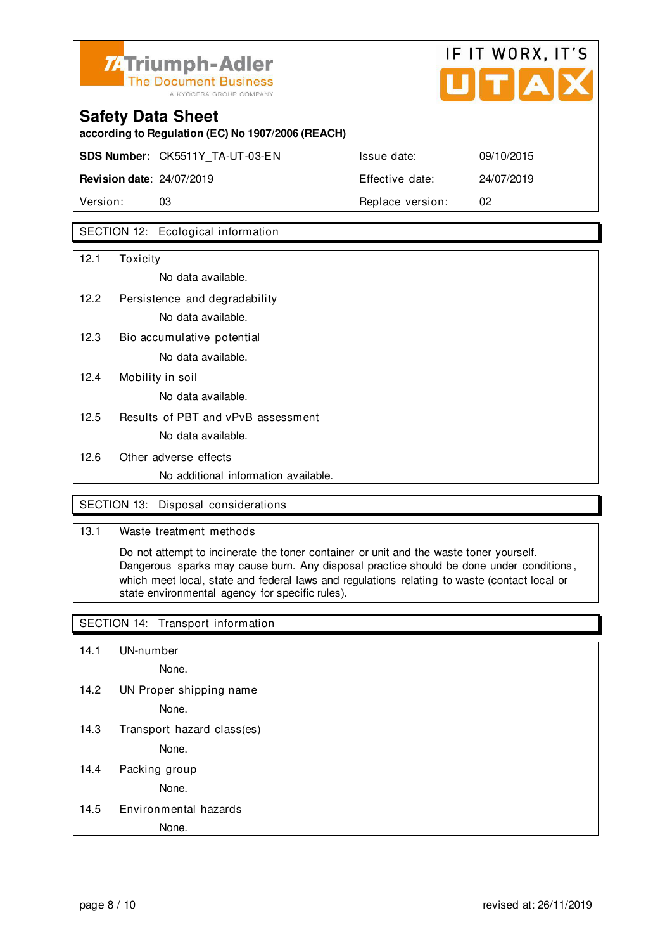

## IF IT WORX, IT'S  $LITIAIX$

## **Safety Data Sheet according to Regulation (EC) No 1907/2006 (REACH) SDS Number:** CK5511Y\_TA-UT-03-EN **Revision date: 24/07/2019**

|                                  | <b>SDS Number: CK5511Y TA-UT-03-EN</b> | Issue date:      | 09/10/2015 |
|----------------------------------|----------------------------------------|------------------|------------|
| <b>Revision date: 24/07/2019</b> |                                        | Effective date:  | 24/07/2019 |
| Version:                         | 03                                     | Replace version: | 02         |

### SECTION 12: Ecological information

| 12.1 | Toxicity                             |
|------|--------------------------------------|
|      | No data available.                   |
| 12.2 | Persistence and degradability        |
|      | No data available.                   |
| 12.3 | Bio accumulative potential           |
|      | No data available.                   |
| 12.4 | Mobility in soil                     |
|      | No data available.                   |
| 12.5 | Results of PBT and vPvB assessment   |
|      | No data available.                   |
| 12.6 | Other adverse effects                |
|      | No additional information available. |

### SECTION 13: Disposal considerations

### 13.1 Waste treatment methods

 Do not attempt to incinerate the toner container or unit and the waste toner yourself. Dangerous sparks may cause burn. Any disposal practice should be done under conditions , which meet local, state and federal laws and regulations relating to waste (contact local or state environmental agency for specific rules).

### SECTION 14: Transport information

- 14.1 UN-number
	- None.
- 14.2 UN Proper shipping name

None.

14.3 Transport hazard class(es)

None.

14.4 Packing group

None.

14.5 Environmental hazards

None.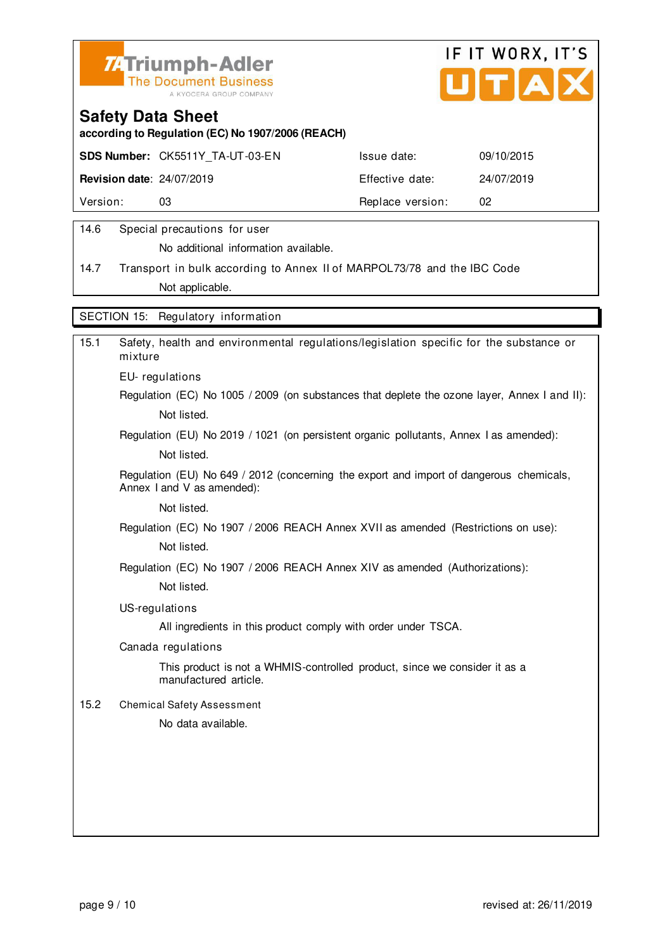



**according to Regulation (EC) No 1907/2006 (REACH)**

|                                  | <b>SDS Number: CK5511Y TA-UT-03-EN</b> | Issue date:      | 09/10/2015 |
|----------------------------------|----------------------------------------|------------------|------------|
| <b>Revision date: 24/07/2019</b> |                                        | Effective date:  | 24/07/2019 |
| Version:                         | 03                                     | Replace version: | -02        |
|                                  |                                        |                  |            |

### 14.6 Special precautions for user

No additional information available.

14.7 Transport in bulk according to Annex II of MARPOL73/78 and the IBC Code Not applicable.

SECTION 15: Regulatory information

| 15.1 | Safety, health and environmental regulations/legislation specific for the substance or<br>mixture                     |
|------|-----------------------------------------------------------------------------------------------------------------------|
|      | EU-regulations                                                                                                        |
|      | Regulation (EC) No 1005 / 2009 (on substances that deplete the ozone layer, Annex I and II):                          |
|      | Not listed.                                                                                                           |
|      | Regulation (EU) No 2019 / 1021 (on persistent organic pollutants, Annex I as amended):                                |
|      | Not listed.                                                                                                           |
|      | Regulation (EU) No 649 / 2012 (concerning the export and import of dangerous chemicals,<br>Annex I and V as amended): |
|      | Not listed.                                                                                                           |
|      | Regulation (EC) No 1907 / 2006 REACH Annex XVII as amended (Restrictions on use):                                     |
|      | Not listed.                                                                                                           |
|      | Regulation (EC) No 1907 / 2006 REACH Annex XIV as amended (Authorizations):                                           |
|      | Not listed.                                                                                                           |
|      | US-regulations                                                                                                        |
|      | All ingredients in this product comply with order under TSCA.                                                         |
|      | Canada regulations                                                                                                    |
|      | This product is not a WHMIS-controlled product, since we consider it as a<br>manufactured article.                    |
| 15.2 | <b>Chemical Safety Assessment</b>                                                                                     |
|      | No data available.                                                                                                    |
|      |                                                                                                                       |
|      |                                                                                                                       |
|      |                                                                                                                       |
|      |                                                                                                                       |
|      |                                                                                                                       |
|      |                                                                                                                       |